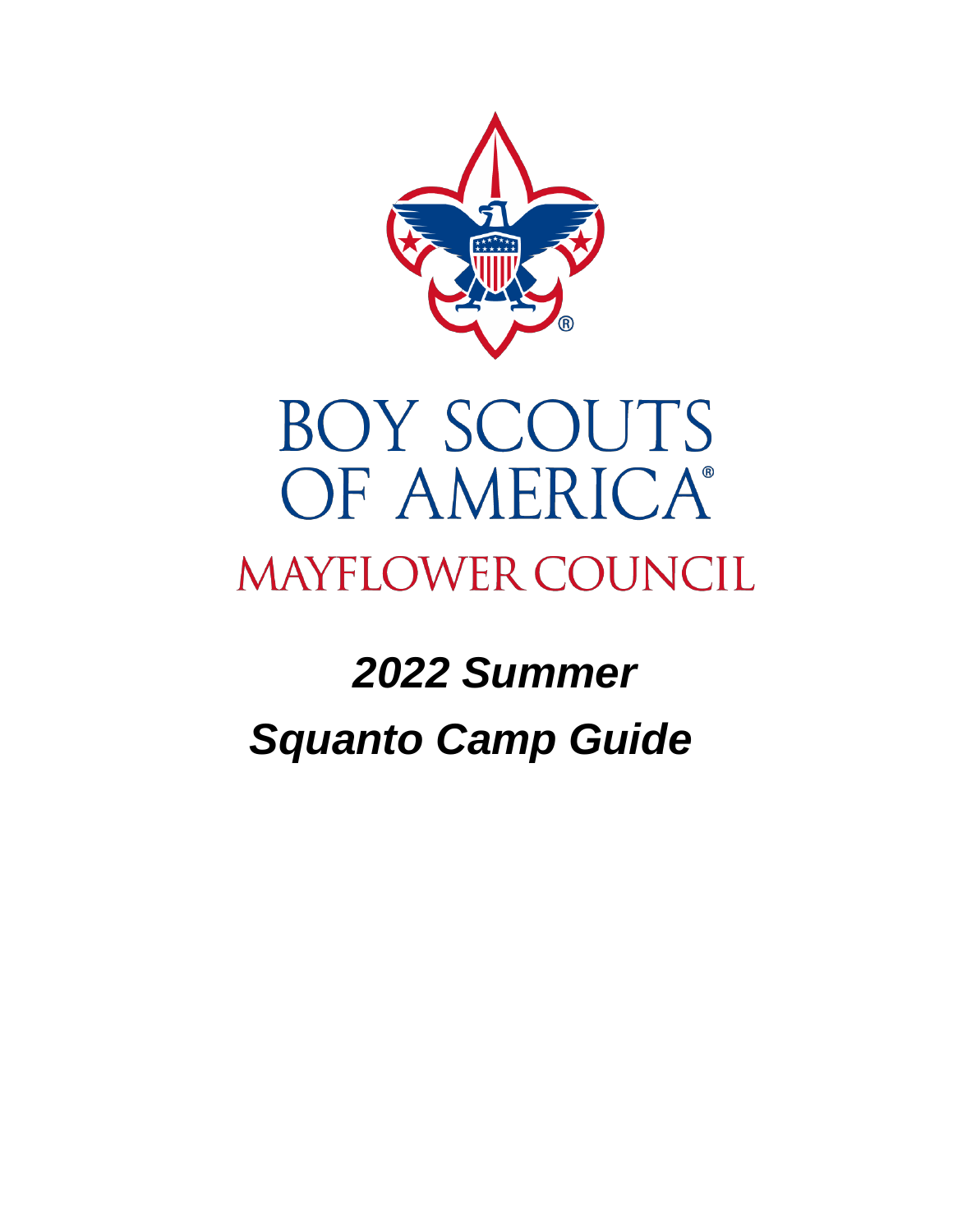

# **BOY SCOUTS** OF AMERICA® **MAYFLOWER COUNCIL**

# *2022 Summer Squanto Camp Guide*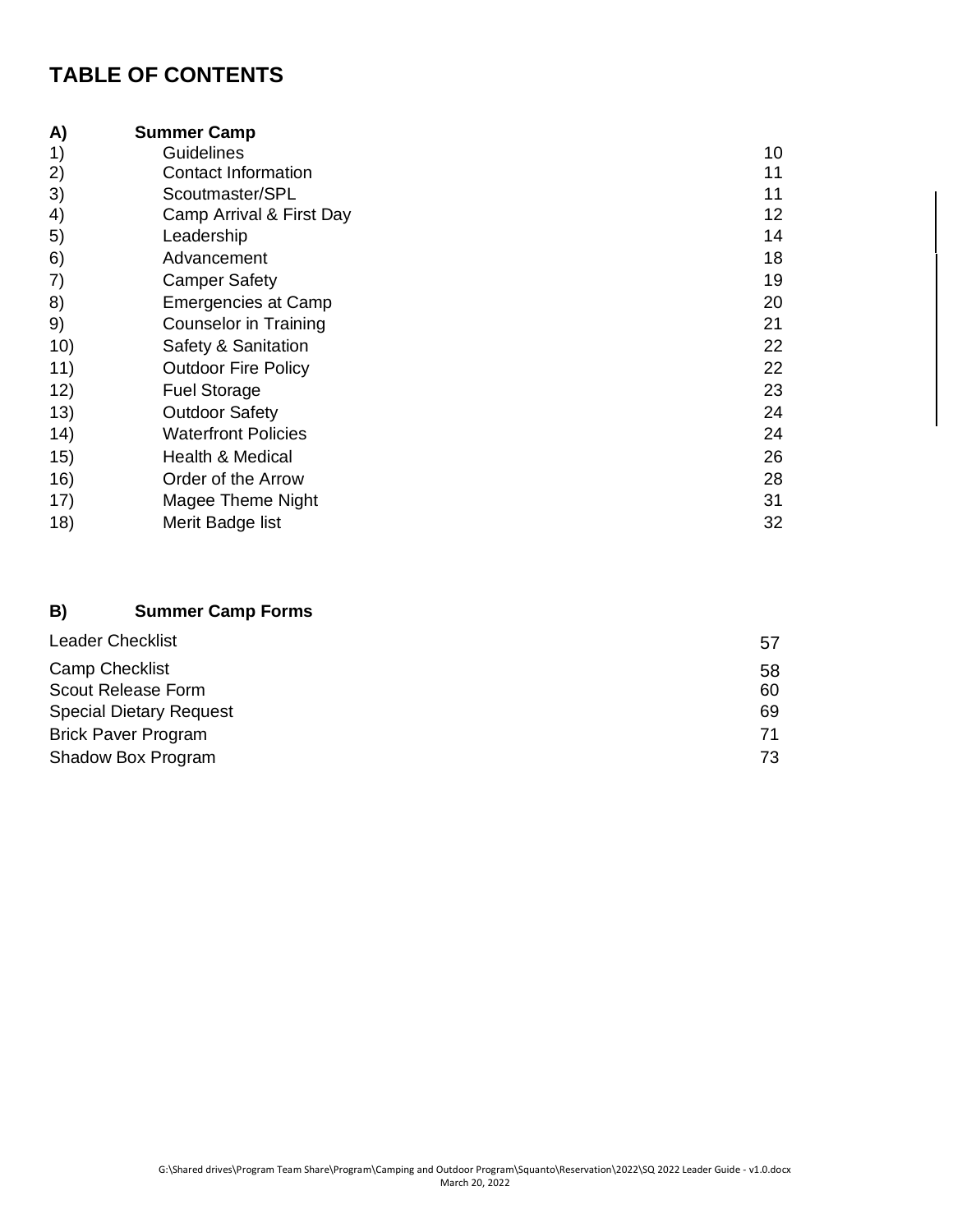# **TABLE OF CONTENTS**

| A)  | <b>Summer Camp</b>         |    |
|-----|----------------------------|----|
| 1)  | <b>Guidelines</b>          | 10 |
| 2)  | <b>Contact Information</b> | 11 |
| 3)  | Scoutmaster/SPL            | 11 |
| 4)  | Camp Arrival & First Day   | 12 |
| 5)  | Leadership                 | 14 |
| 6)  | Advancement                | 18 |
| 7)  | <b>Camper Safety</b>       | 19 |
| 8)  | Emergencies at Camp        | 20 |
| 9)  | Counselor in Training      | 21 |
| 10) | Safety & Sanitation        | 22 |
| 11) | <b>Outdoor Fire Policy</b> | 22 |
| 12) | <b>Fuel Storage</b>        | 23 |
| 13) | <b>Outdoor Safety</b>      | 24 |
| 14) | <b>Waterfront Policies</b> | 24 |
| 15) | Health & Medical           | 26 |
| 16) | Order of the Arrow         | 28 |
| 17) | Magee Theme Night          | 31 |
| 18) | Merit Badge list           | 32 |

## **B) Summer Camp Forms**

| <b>Leader Checklist</b>        | 57 |
|--------------------------------|----|
| <b>Camp Checklist</b>          | 58 |
| Scout Release Form             | 60 |
| <b>Special Dietary Request</b> | 69 |
| <b>Brick Paver Program</b>     | 71 |
| Shadow Box Program             | 73 |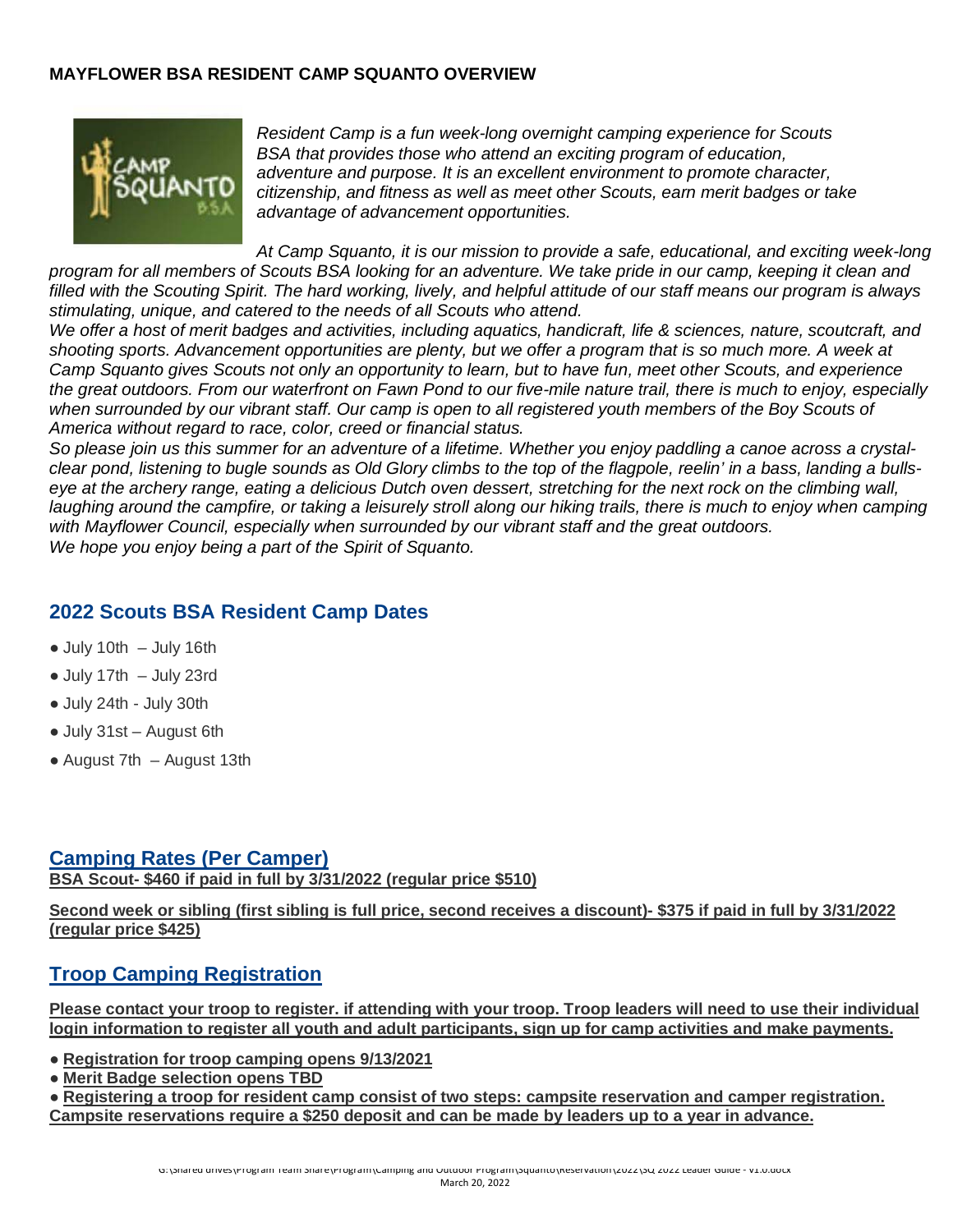#### **MAYFLOWER BSA RESIDENT CAMP SQUANTO OVERVIEW**



*Resident Camp is a fun week-long overnight camping experience for Scouts BSA that provides those who attend an exciting program of education, adventure and purpose. It is an excellent environment to promote character, citizenship, and fitness as well as meet other Scouts, earn merit badges or take advantage of advancement opportunities.*

*At Camp Squanto, it is our mission to provide a safe, educational, and exciting week-long program for all members of Scouts BSA looking for an adventure. We take pride in our camp, keeping it clean and filled with the Scouting Spirit. The hard working, lively, and helpful attitude of our staff means our program is always stimulating, unique, and catered to the needs of all Scouts who attend.*

*We offer a host of merit badges and activities, including aquatics, handicraft, life & sciences, nature, scoutcraft, and shooting sports. Advancement opportunities are plenty, but we offer a program that is so much more. A week at Camp Squanto gives Scouts not only an opportunity to learn, but to have fun, meet other Scouts, and experience the great outdoors. From our waterfront on Fawn Pond to our five-mile nature trail, there is much to enjoy, especially*  when surrounded by our vibrant staff. Our camp is open to all registered youth members of the Boy Scouts of *America without regard to race, color, creed or financial status.* 

*So please join us this summer for an adventure of a lifetime. Whether you enjoy paddling a canoe across a crystalclear pond, listening to bugle sounds as Old Glory climbs to the top of the flagpole, reelin' in a bass, landing a bullseye at the archery range, eating a delicious Dutch oven dessert, stretching for the next rock on the climbing wall,*  laughing around the campfire, or taking a leisurely stroll along our hiking trails, there is much to enjoy when camping *with Mayflower Council, especially when surrounded by our vibrant staff and the great outdoors. We hope you enjoy being a part of the Spirit of Squanto.*

## **2022 Scouts BSA Resident Camp Dates**

- $\bullet$  July 10th  $-$  July 16th
- July 17th July 23rd
- July 24th July 30th
- July 31st August 6th
- $\bullet$  August 7th August 13th

## **Camping Rates (Per Camper)**

**BSA Scout- \$460 if paid in full by 3/31/2022 (regular price \$510)**

**Second week or sibling (first sibling is full price, second receives a discount)- \$375 if paid in full by 3/31/2022 (regular price \$425)**

# **Troop Camping Registration**

**Please contact your troop to register. if attending with your troop. Troop leaders will need to use their individual login information to register all youth and adult participants, sign up for camp activities and make payments.**

- **Registration for troop camping opens 9/13/2021**
- **Merit Badge selection opens TBD**

● **Registering a troop for resident camp consist of two steps: campsite reservation and camper registration. Campsite reservations require a \$250 deposit and can be made by leaders up to a year in advance.**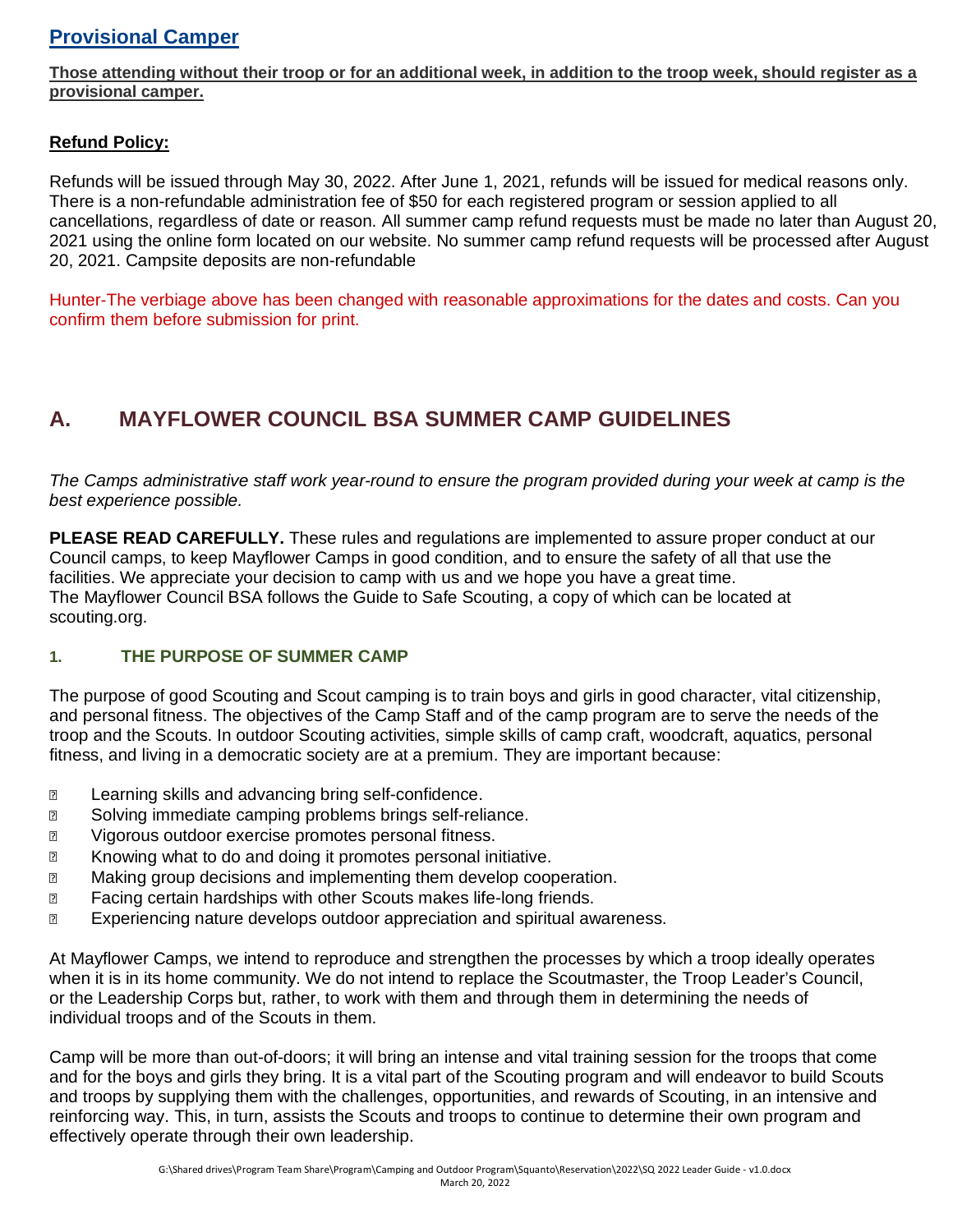# **Provisional Camper**

**Those attending without their troop or for an additional week, in addition to the troop week, should register as a provisional camper.**

#### **Refund Policy:**

Refunds will be issued through May 30, 2022. After June 1, 2021, refunds will be issued for medical reasons only. There is a non-refundable administration fee of \$50 for each registered program or session applied to all cancellations, regardless of date or reason. All summer camp refund requests must be made no later than August 20, 2021 using the online form located on our website. No summer camp refund requests will be processed after August 20, 2021. Campsite deposits are non-refundable

Hunter-The verbiage above has been changed with reasonable approximations for the dates and costs. Can you confirm them before submission for print.

# **A. MAYFLOWER COUNCIL BSA SUMMER CAMP GUIDELINES**

*The Camps administrative staff work year-round to ensure the program provided during your week at camp is the best experience possible.* 

**PLEASE READ CAREFULLY.** These rules and regulations are implemented to assure proper conduct at our Council camps, to keep Mayflower Camps in good condition, and to ensure the safety of all that use the facilities. We appreciate your decision to camp with us and we hope you have a great time. The Mayflower Council BSA follows the Guide to Safe Scouting, a copy of which can be located at scouting.org.

#### **1. THE PURPOSE OF SUMMER CAMP**

The purpose of good Scouting and Scout camping is to train boys and girls in good character, vital citizenship, and personal fitness. The objectives of the Camp Staff and of the camp program are to serve the needs of the troop and the Scouts. In outdoor Scouting activities, simple skills of camp craft, woodcraft, aquatics, personal fitness, and living in a democratic society are at a premium. They are important because:

- **EXEC** Learning skills and advancing bring self-confidence.
- **■** Solving immediate camping problems brings self-reliance.
- **2** Vigorous outdoor exercise promotes personal fitness.
- Knowing what to do and doing it promotes personal initiative.
- Making group decisions and implementing them develop cooperation.
- Facing certain hardships with other Scouts makes life-long friends.
- **Experiencing nature develops outdoor appreciation and spiritual awareness.**

At Mayflower Camps, we intend to reproduce and strengthen the processes by which a troop ideally operates when it is in its home community. We do not intend to replace the Scoutmaster, the Troop Leader's Council, or the Leadership Corps but, rather, to work with them and through them in determining the needs of individual troops and of the Scouts in them.

Camp will be more than out-of-doors; it will bring an intense and vital training session for the troops that come and for the boys and girls they bring. It is a vital part of the Scouting program and will endeavor to build Scouts and troops by supplying them with the challenges, opportunities, and rewards of Scouting, in an intensive and reinforcing way. This, in turn, assists the Scouts and troops to continue to determine their own program and effectively operate through their own leadership.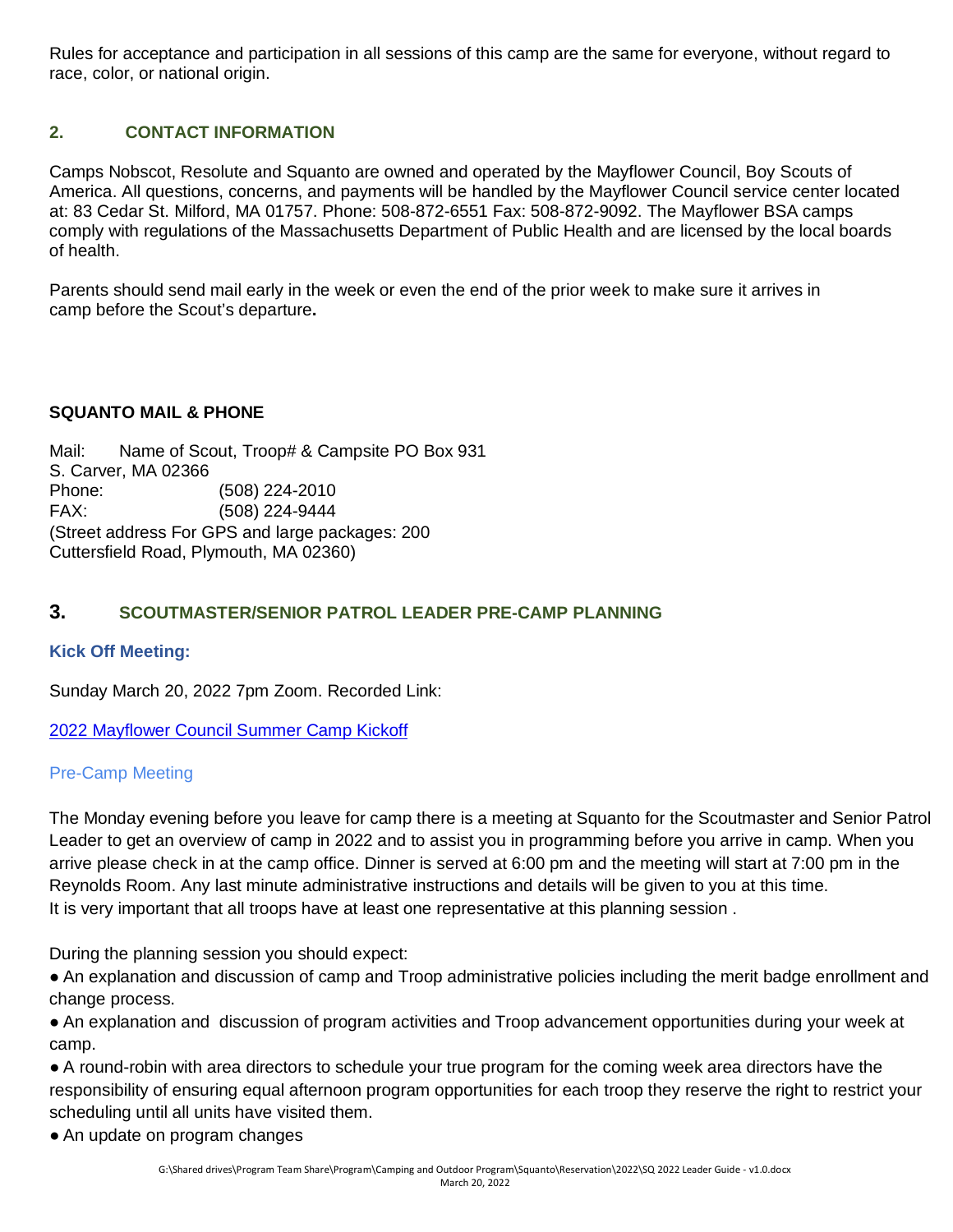Rules for acceptance and participation in all sessions of this camp are the same for everyone, without regard to race, color, or national origin.

### **2. CONTACT INFORMATION**

Camps Nobscot, Resolute and Squanto are owned and operated by the Mayflower Council, Boy Scouts of America. All questions, concerns, and payments will be handled by the Mayflower Council service center located at: 83 Cedar St. Milford, MA 01757. Phone: 508-872-6551 Fax: 508-872-9092. The Mayflower BSA camps comply with regulations of the Massachusetts Department of Public Health and are licensed by the local boards of health.

Parents should send mail early in the week or even the end of the prior week to make sure it arrives in camp before the Scout's departure**.**

#### **SQUANTO MAIL & PHONE**

Mail: Name of Scout, Troop# & Campsite PO Box 931 S. Carver, MA 02366 Phone: (508) 224-2010 FAX: (508) 224-9444 (Street address For GPS and large packages: 200 Cuttersfield Road, Plymouth, MA 02360)

#### **3. SCOUTMASTER/SENIOR PATROL LEADER PRE-CAMP PLANNING**

#### **Kick Off Meeting:**

Sunday March 20, 2022 7pm Zoom. Recorded Link:

[2022 Mayflower Council Summer Camp Kickoff](https://www.youtube.com/watch?v=CEAM1S_wP_M)

#### Pre-Camp Meeting

The Monday evening before you leave for camp there is a meeting at Squanto for the Scoutmaster and Senior Patrol Leader to get an overview of camp in 2022 and to assist you in programming before you arrive in camp. When you arrive please check in at the camp office. Dinner is served at 6:00 pm and the meeting will start at 7:00 pm in the Reynolds Room. Any last minute administrative instructions and details will be given to you at this time. It is very important that all troops have at least one representative at this planning session .

During the planning session you should expect:

● An explanation and discussion of camp and Troop administrative policies including the merit badge enrollment and change process.

● An explanation and discussion of program activities and Troop advancement opportunities during your week at camp.

● A round-robin with area directors to schedule your true program for the coming week area directors have the responsibility of ensuring equal afternoon program opportunities for each troop they reserve the right to restrict your scheduling until all units have visited them.

• An update on program changes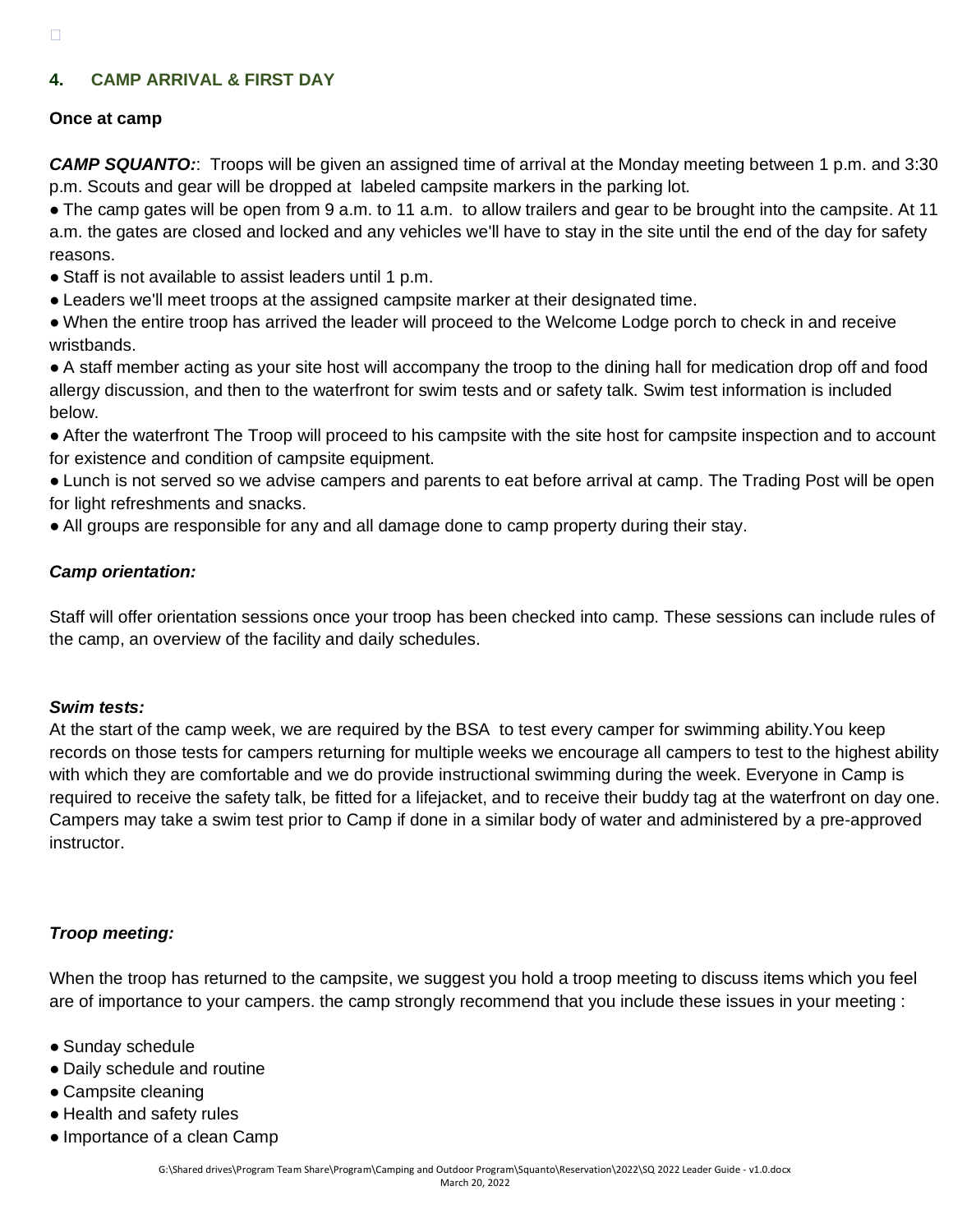#### **4. CAMP ARRIVAL & FIRST DAY**

#### **Once at camp**

*CAMP SQUANTO:*: Troops will be given an assigned time of arrival at the Monday meeting between 1 p.m. and 3:30 p.m. Scouts and gear will be dropped at labeled campsite markers in the parking lot.

• The camp gates will be open from 9 a.m. to 11 a.m. to allow trailers and gear to be brought into the campsite. At 11 a.m. the gates are closed and locked and any vehicles we'll have to stay in the site until the end of the day for safety reasons.

- Staff is not available to assist leaders until 1 p.m.
- Leaders we'll meet troops at the assigned campsite marker at their designated time.

● When the entire troop has arrived the leader will proceed to the Welcome Lodge porch to check in and receive wristbands.

● A staff member acting as your site host will accompany the troop to the dining hall for medication drop off and food allergy discussion, and then to the waterfront for swim tests and or safety talk. Swim test information is included below.

● After the waterfront The Troop will proceed to his campsite with the site host for campsite inspection and to account for existence and condition of campsite equipment.

● Lunch is not served so we advise campers and parents to eat before arrival at camp. The Trading Post will be open for light refreshments and snacks.

● All groups are responsible for any and all damage done to camp property during their stay.

#### *Camp orientation:*

Staff will offer orientation sessions once your troop has been checked into camp. These sessions can include rules of the camp, an overview of the facility and daily schedules.

#### *Swim tests:*

At the start of the camp week, we are required by the BSA to test every camper for swimming ability.You keep records on those tests for campers returning for multiple weeks we encourage all campers to test to the highest ability with which they are comfortable and we do provide instructional swimming during the week. Everyone in Camp is required to receive the safety talk, be fitted for a lifejacket, and to receive their buddy tag at the waterfront on day one. Campers may take a swim test prior to Camp if done in a similar body of water and administered by a pre-approved instructor.

#### *Troop meeting:*

When the troop has returned to the campsite, we suggest you hold a troop meeting to discuss items which you feel are of importance to your campers. the camp strongly recommend that you include these issues in your meeting :

- Sunday schedule
- Daily schedule and routine
- Campsite cleaning
- Health and safety rules
- Importance of a clean Camp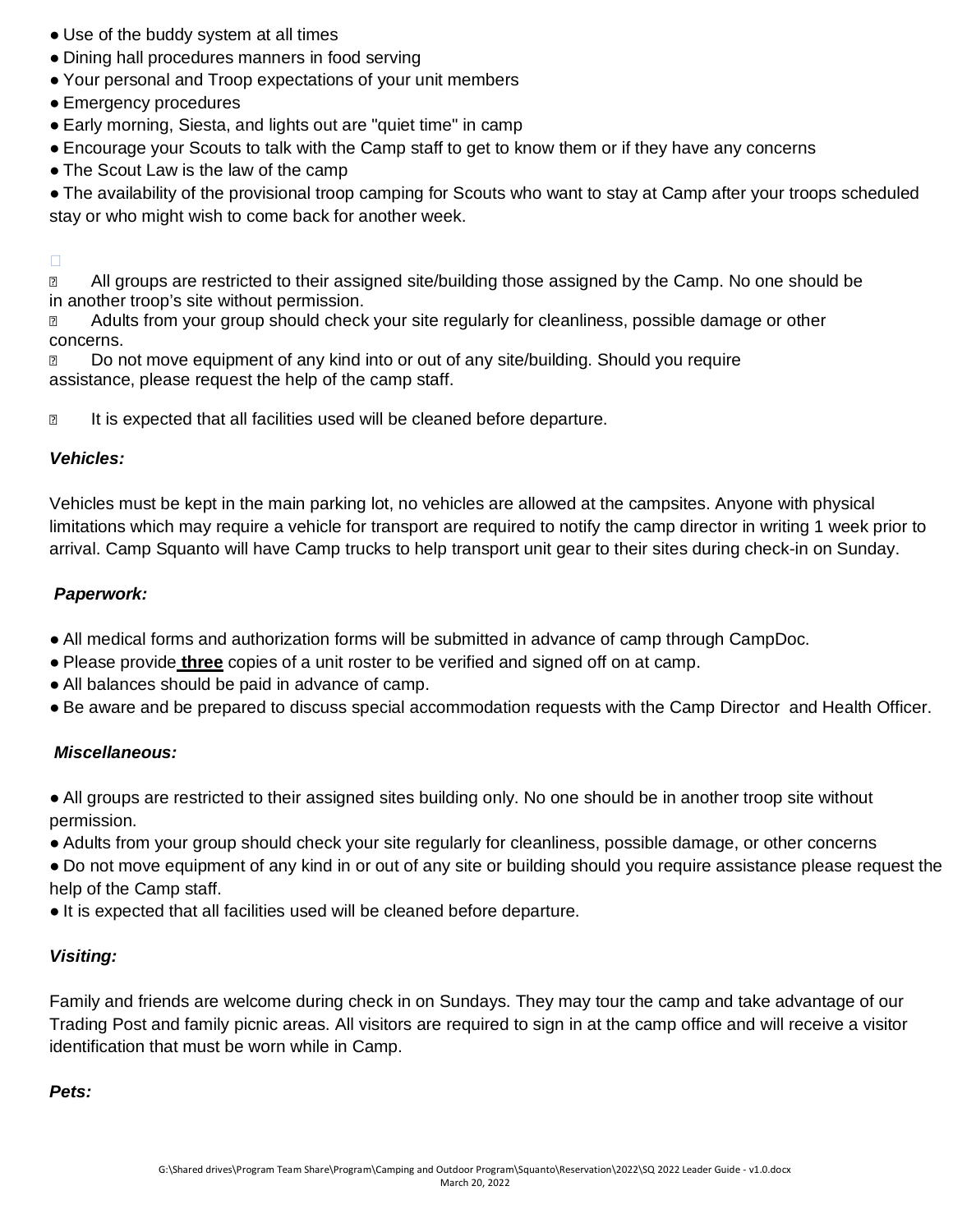- Use of the buddy system at all times
- Dining hall procedures manners in food serving
- Your personal and Troop expectations of your unit members
- Emergency procedures
- Early morning, Siesta, and lights out are "quiet time" in camp
- Encourage your Scouts to talk with the Camp staff to get to know them or if they have any concerns
- The Scout Law is the law of the camp

● The availability of the provisional troop camping for Scouts who want to stay at Camp after your troops scheduled stay or who might wish to come back for another week.

#### $\Box$

**n** All groups are restricted to their assigned site/building those assigned by the Camp. No one should be in another troop's site without permission.

**EXECUTE:** Adults from your group should check your site regularly for cleanliness, possible damage or other concerns.

**Do not move equipment of any kind into or out of any site/building. Should you require** assistance, please request the help of the camp staff.

**If is expected that all facilities used will be cleaned before departure.** 

#### *Vehicles:*

Vehicles must be kept in the main parking lot, no vehicles are allowed at the campsites. Anyone with physical limitations which may require a vehicle for transport are required to notify the camp director in writing 1 week prior to arrival. Camp Squanto will have Camp trucks to help transport unit gear to their sites during check-in on Sunday.

#### *Paperwork:*

- All medical forms and authorization forms will be submitted in advance of camp through CampDoc.
- Please provide **three** copies of a unit roster to be verified and signed off on at camp.
- All balances should be paid in advance of camp.
- Be aware and be prepared to discuss special accommodation requests with the Camp Director and Health Officer.

#### *Miscellaneous:*

● All groups are restricted to their assigned sites building only. No one should be in another troop site without permission.

- Adults from your group should check your site regularly for cleanliness, possible damage, or other concerns
- Do not move equipment of any kind in or out of any site or building should you require assistance please request the help of the Camp staff.
- It is expected that all facilities used will be cleaned before departure.

#### *Visiting:*

Family and friends are welcome during check in on Sundays. They may tour the camp and take advantage of our Trading Post and family picnic areas. All visitors are required to sign in at the camp office and will receive a visitor identification that must be worn while in Camp.

*Pets:*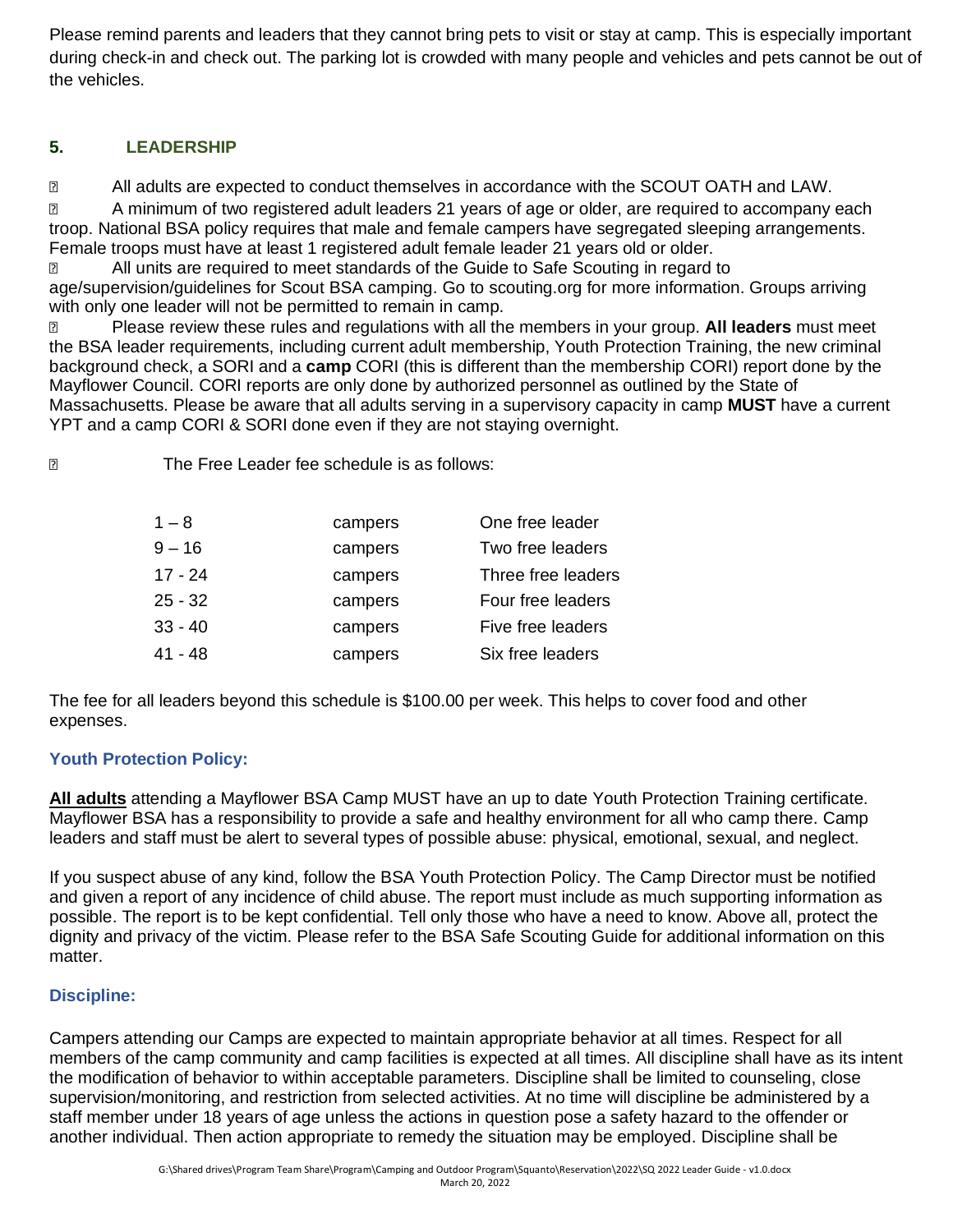Please remind parents and leaders that they cannot bring pets to visit or stay at camp. This is especially important during check-in and check out. The parking lot is crowded with many people and vehicles and pets cannot be out of the vehicles.

## **5. LEADERSHIP**

**2** All adults are expected to conduct themselves in accordance with the SCOUT OATH and LAW.

**Z** A minimum of two registered adult leaders 21 years of age or older, are required to accompany each troop. National BSA policy requires that male and female campers have segregated sleeping arrangements. Female troops must have at least 1 registered adult female leader 21 years old or older.

 All units are required to meet standards of the Guide to Safe Scouting in regard to age/supervision/guidelines for Scout BSA camping. Go to scouting.org for more information. Groups arriving with only one leader will not be permitted to remain in camp.

 Please review these rules and regulations with all the members in your group. **All leaders** must meet the BSA leader requirements, including current adult membership, Youth Protection Training, the new criminal background check, a SORI and a **camp** CORI (this is different than the membership CORI) report done by the Mayflower Council. CORI reports are only done by authorized personnel as outlined by the State of Massachusetts. Please be aware that all adults serving in a supervisory capacity in camp **MUST** have a current YPT and a camp CORI & SORI done even if they are not staying overnight.

The Free Leader fee schedule is as follows:

| $1 - 8$   | campers | One free leader    |
|-----------|---------|--------------------|
| $9 - 16$  | campers | Two free leaders   |
| $17 - 24$ | campers | Three free leaders |
| $25 - 32$ | campers | Four free leaders  |
| $33 - 40$ | campers | Five free leaders  |
| 41 - 48   | campers | Six free leaders   |

The fee for all leaders beyond this schedule is \$100.00 per week. This helps to cover food and other expenses.

#### **Youth Protection Policy:**

**All adults** attending a Mayflower BSA Camp MUST have an up to date Youth Protection Training certificate. Mayflower BSA has a responsibility to provide a safe and healthy environment for all who camp there. Camp leaders and staff must be alert to several types of possible abuse: physical, emotional, sexual, and neglect.

If you suspect abuse of any kind, follow the BSA Youth Protection Policy. The Camp Director must be notified and given a report of any incidence of child abuse. The report must include as much supporting information as possible. The report is to be kept confidential. Tell only those who have a need to know. Above all, protect the dignity and privacy of the victim. Please refer to the BSA Safe Scouting Guide for additional information on this matter.

#### **Discipline:**

Campers attending our Camps are expected to maintain appropriate behavior at all times. Respect for all members of the camp community and camp facilities is expected at all times. All discipline shall have as its intent the modification of behavior to within acceptable parameters. Discipline shall be limited to counseling, close supervision/monitoring, and restriction from selected activities. At no time will discipline be administered by a staff member under 18 years of age unless the actions in question pose a safety hazard to the offender or another individual. Then action appropriate to remedy the situation may be employed. Discipline shall be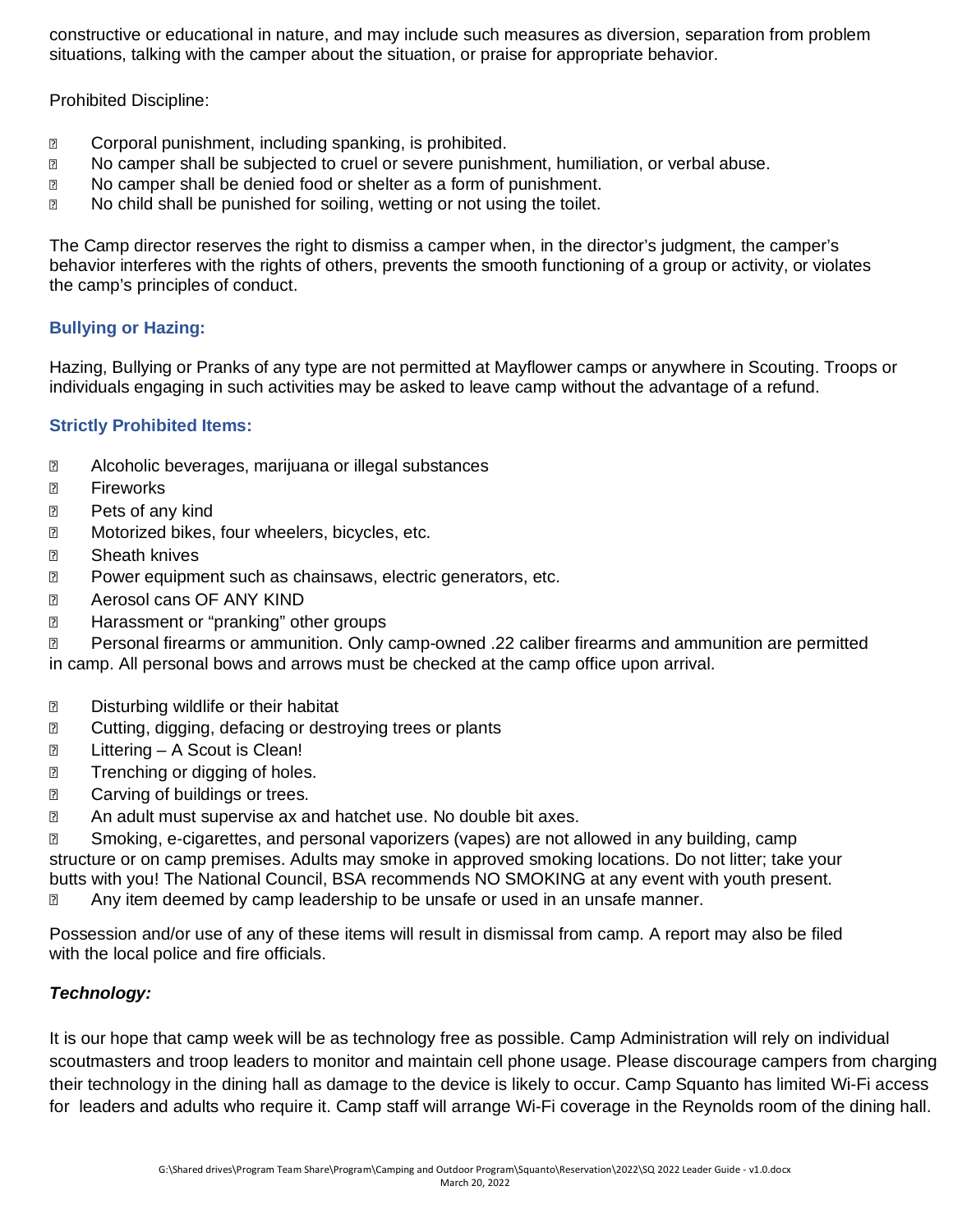constructive or educational in nature, and may include such measures as diversion, separation from problem situations, talking with the camper about the situation, or praise for appropriate behavior.

Prohibited Discipline:

- **■** Corporal punishment, including spanking, is prohibited.
- No camper shall be subjected to cruel or severe punishment, humiliation, or verbal abuse.
- No camper shall be denied food or shelter as a form of punishment.
- No child shall be punished for soiling, wetting or not using the toilet.

The Camp director reserves the right to dismiss a camper when, in the director's judgment, the camper's behavior interferes with the rights of others, prevents the smooth functioning of a group or activity, or violates the camp's principles of conduct.

#### **Bullying or Hazing:**

Hazing, Bullying or Pranks of any type are not permitted at Mayflower camps or anywhere in Scouting. Troops or individuals engaging in such activities may be asked to leave camp without the advantage of a refund.

#### **Strictly Prohibited Items:**

- Alcoholic beverages, marijuana or illegal substances
- **2** Fireworks
- **Pets of any kind**
- **2** Motorized bikes, four wheelers, bicycles, etc.
- **2** Sheath knives
- **Power equipment such as chainsaws, electric generators, etc.**
- **2** Aerosol cans OF ANY KIND
- **E** Harassment or "pranking" other groups

 Personal firearms or ammunition. Only camp-owned .22 caliber firearms and ammunition are permitted in camp. All personal bows and arrows must be checked at the camp office upon arrival.

- **D** Disturbing wildlife or their habitat
- **net all Cutting, digging, defacing or destroying trees or plants**
- **n** Littering A Scout is Clean!
- **Trenching or digging of holes.**
- **2** Carving of buildings or trees.
- **EXECUTE:** An adult must supervise ax and hatchet use. No double bit axes.

 Smoking, e-cigarettes, and personal vaporizers (vapes) are not allowed in any building, camp structure or on camp premises. Adults may smoke in approved smoking locations. Do not litter; take your butts with you! The National Council, BSA recommends NO SMOKING at any event with youth present. Any item deemed by camp leadership to be unsafe or used in an unsafe manner.

Possession and/or use of any of these items will result in dismissal from camp. A report may also be filed with the local police and fire officials.

#### *Technology:*

It is our hope that camp week will be as technology free as possible. Camp Administration will rely on individual scoutmasters and troop leaders to monitor and maintain cell phone usage. Please discourage campers from charging their technology in the dining hall as damage to the device is likely to occur. Camp Squanto has limited Wi-Fi access for leaders and adults who require it. Camp staff will arrange Wi-Fi coverage in the Reynolds room of the dining hall.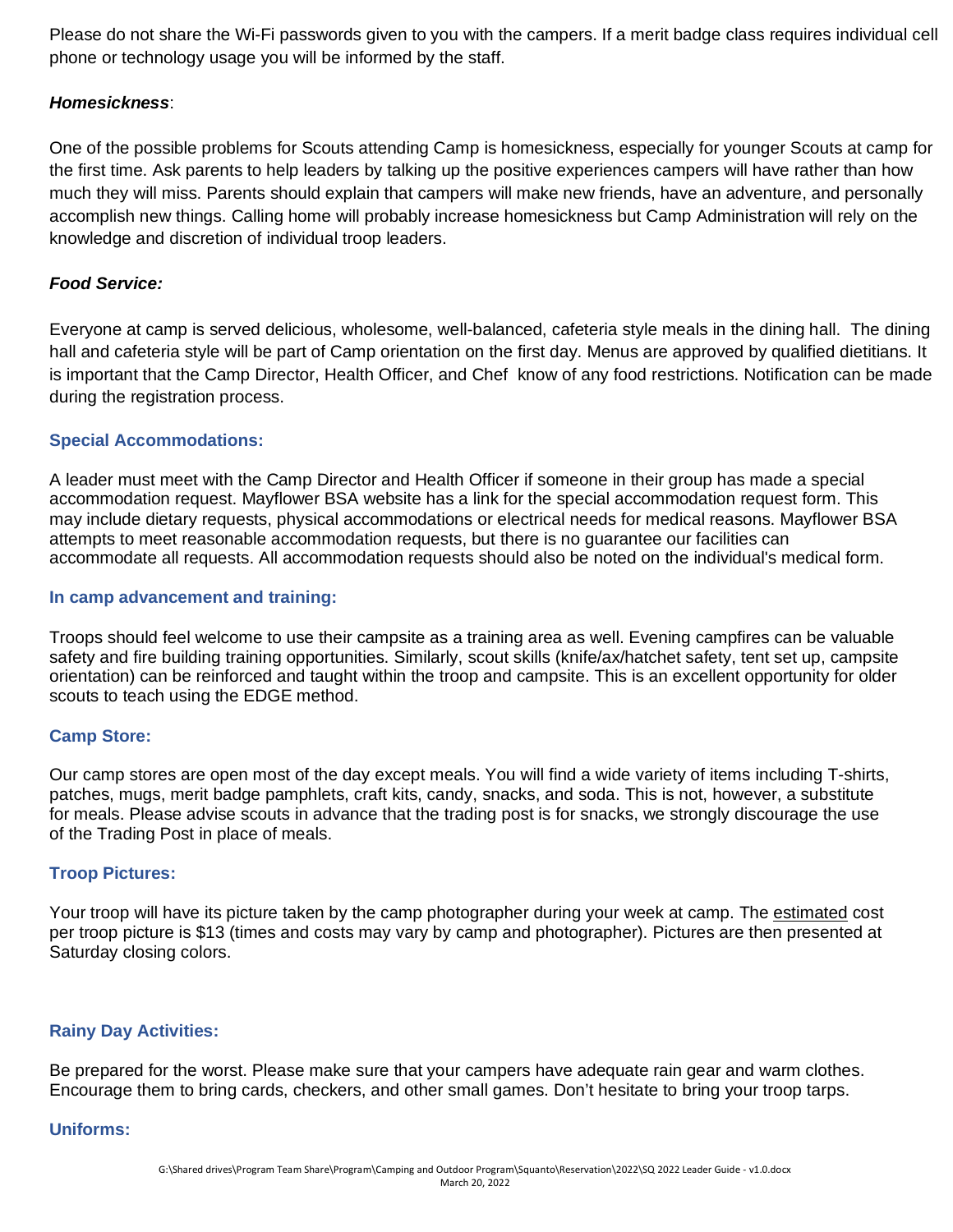Please do not share the Wi-Fi passwords given to you with the campers. If a merit badge class requires individual cell phone or technology usage you will be informed by the staff.

#### *Homesickness*:

One of the possible problems for Scouts attending Camp is homesickness, especially for younger Scouts at camp for the first time. Ask parents to help leaders by talking up the positive experiences campers will have rather than how much they will miss. Parents should explain that campers will make new friends, have an adventure, and personally accomplish new things. Calling home will probably increase homesickness but Camp Administration will rely on the knowledge and discretion of individual troop leaders.

#### *Food Service:*

Everyone at camp is served delicious, wholesome, well-balanced, cafeteria style meals in the dining hall. The dining hall and cafeteria style will be part of Camp orientation on the first day. Menus are approved by qualified dietitians. It is important that the Camp Director, Health Officer, and Chef know of any food restrictions. Notification can be made during the registration process.

#### **Special Accommodations:**

A leader must meet with the Camp Director and Health Officer if someone in their group has made a special accommodation request. Mayflower BSA website has a link for the special accommodation request form. This may include dietary requests, physical accommodations or electrical needs for medical reasons. Mayflower BSA attempts to meet reasonable accommodation requests, but there is no guarantee our facilities can accommodate all requests. All accommodation requests should also be noted on the individual's medical form.

#### **In camp advancement and training:**

Troops should feel welcome to use their campsite as a training area as well. Evening campfires can be valuable safety and fire building training opportunities. Similarly, scout skills (knife/ax/hatchet safety, tent set up, campsite orientation) can be reinforced and taught within the troop and campsite. This is an excellent opportunity for older scouts to teach using the EDGE method.

#### **Camp Store:**

Our camp stores are open most of the day except meals. You will find a wide variety of items including T-shirts, patches, mugs, merit badge pamphlets, craft kits, candy, snacks, and soda. This is not, however, a substitute for meals. Please advise scouts in advance that the trading post is for snacks, we strongly discourage the use of the Trading Post in place of meals.

#### **Troop Pictures:**

Your troop will have its picture taken by the camp photographer during your week at camp. The estimated cost per troop picture is \$13 (times and costs may vary by camp and photographer). Pictures are then presented at Saturday closing colors.

#### **Rainy Day Activities:**

Be prepared for the worst. Please make sure that your campers have adequate rain gear and warm clothes. Encourage them to bring cards, checkers, and other small games. Don't hesitate to bring your troop tarps.

#### **Uniforms:**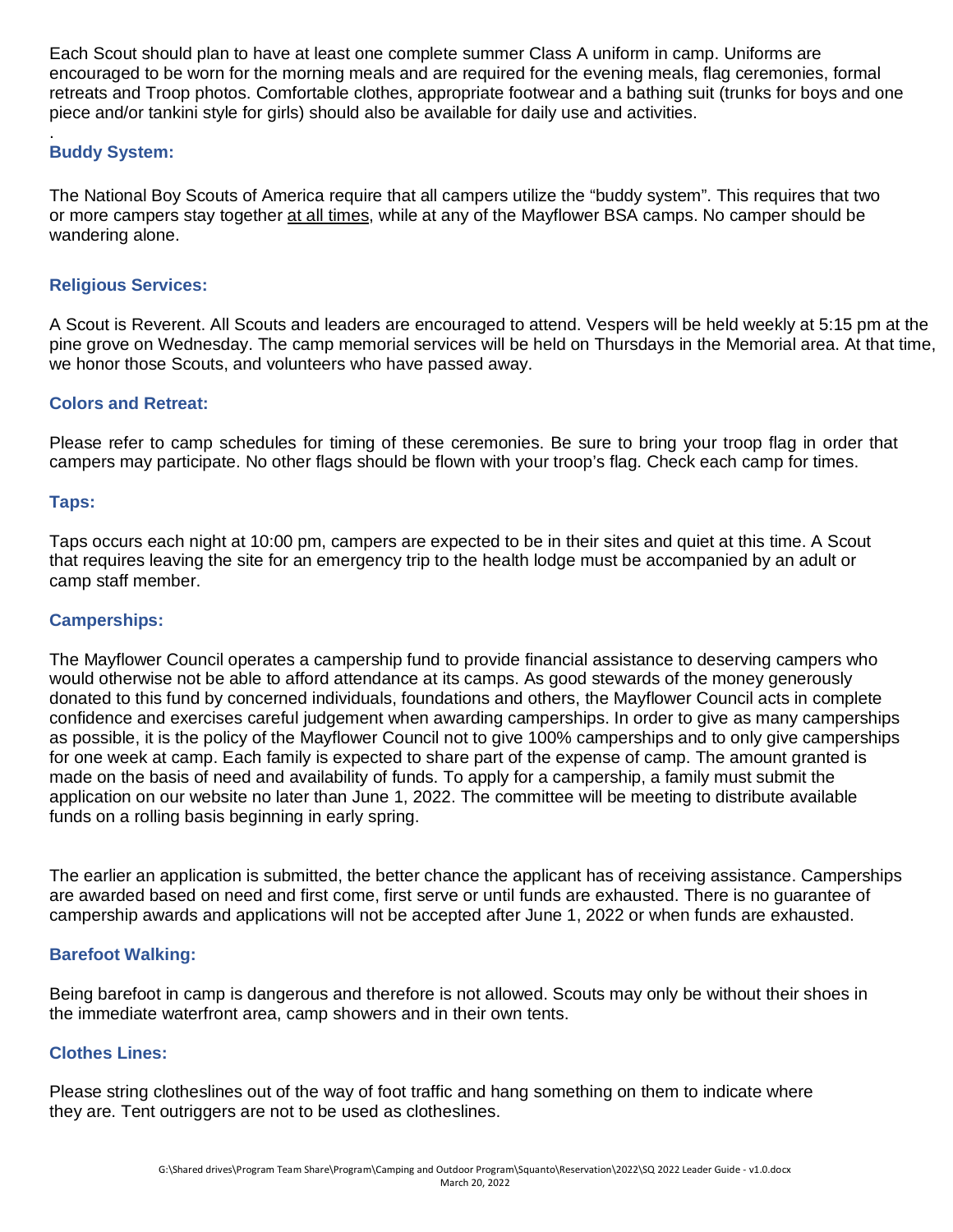Each Scout should plan to have at least one complete summer Class A uniform in camp. Uniforms are encouraged to be worn for the morning meals and are required for the evening meals, flag ceremonies, formal retreats and Troop photos. Comfortable clothes, appropriate footwear and a bathing suit (trunks for boys and one piece and/or tankini style for girls) should also be available for daily use and activities.

#### . **Buddy System:**

The National Boy Scouts of America require that all campers utilize the "buddy system". This requires that two or more campers stay together at all times, while at any of the Mayflower BSA camps. No camper should be wandering alone.

#### **Religious Services:**

A Scout is Reverent. All Scouts and leaders are encouraged to attend. Vespers will be held weekly at 5:15 pm at the pine grove on Wednesday. The camp memorial services will be held on Thursdays in the Memorial area. At that time, we honor those Scouts, and volunteers who have passed away.

#### **Colors and Retreat:**

Please refer to camp schedules for timing of these ceremonies. Be sure to bring your troop flag in order that campers may participate. No other flags should be flown with your troop's flag. Check each camp for times.

#### **Taps:**

Taps occurs each night at 10:00 pm, campers are expected to be in their sites and quiet at this time. A Scout that requires leaving the site for an emergency trip to the health lodge must be accompanied by an adult or camp staff member.

#### **Camperships:**

The Mayflower Council operates a campership fund to provide financial assistance to deserving campers who would otherwise not be able to afford attendance at its camps. As good stewards of the money generously donated to this fund by concerned individuals, foundations and others, the Mayflower Council acts in complete confidence and exercises careful judgement when awarding camperships. In order to give as many camperships as possible, it is the policy of the Mayflower Council not to give 100% camperships and to only give camperships for one week at camp. Each family is expected to share part of the expense of camp. The amount granted is made on the basis of need and availability of funds. To apply for a campership, a family must submit the application on our website no later than June 1, 2022. The committee will be meeting to distribute available funds on a rolling basis beginning in early spring.

The earlier an application is submitted, the better chance the applicant has of receiving assistance. Camperships are awarded based on need and first come, first serve or until funds are exhausted. There is no guarantee of campership awards and applications will not be accepted after June 1, 2022 or when funds are exhausted.

#### **Barefoot Walking:**

Being barefoot in camp is dangerous and therefore is not allowed. Scouts may only be without their shoes in the immediate waterfront area, camp showers and in their own tents.

#### **Clothes Lines:**

Please string clotheslines out of the way of foot traffic and hang something on them to indicate where they are. Tent outriggers are not to be used as clotheslines.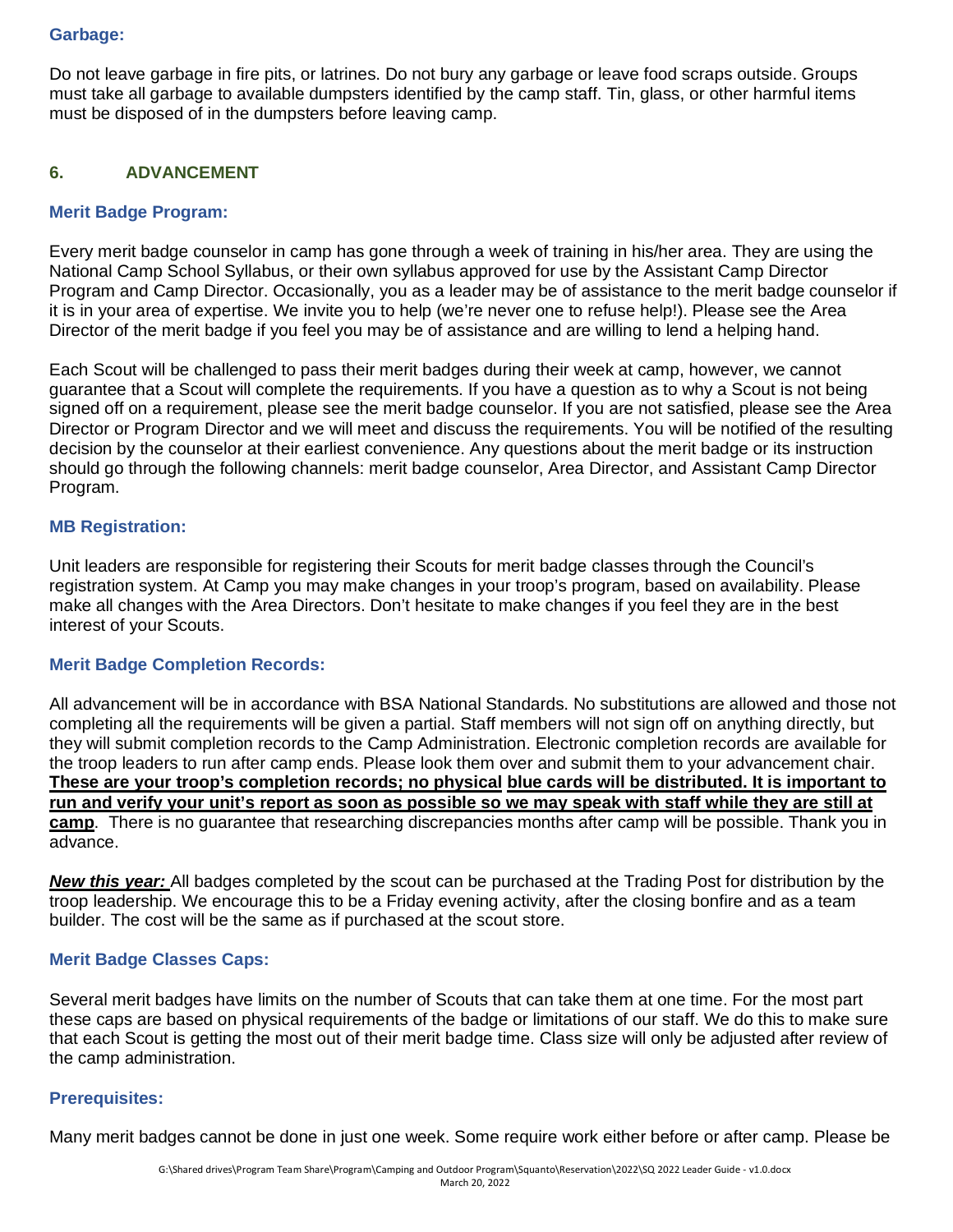#### **Garbage:**

Do not leave garbage in fire pits, or latrines. Do not bury any garbage or leave food scraps outside. Groups must take all garbage to available dumpsters identified by the camp staff. Tin, glass, or other harmful items must be disposed of in the dumpsters before leaving camp.

#### **6. ADVANCEMENT**

#### **Merit Badge Program:**

Every merit badge counselor in camp has gone through a week of training in his/her area. They are using the National Camp School Syllabus, or their own syllabus approved for use by the Assistant Camp Director Program and Camp Director. Occasionally, you as a leader may be of assistance to the merit badge counselor if it is in your area of expertise. We invite you to help (we're never one to refuse help!). Please see the Area Director of the merit badge if you feel you may be of assistance and are willing to lend a helping hand.

Each Scout will be challenged to pass their merit badges during their week at camp, however, we cannot guarantee that a Scout will complete the requirements. If you have a question as to why a Scout is not being signed off on a requirement, please see the merit badge counselor. If you are not satisfied, please see the Area Director or Program Director and we will meet and discuss the requirements. You will be notified of the resulting decision by the counselor at their earliest convenience. Any questions about the merit badge or its instruction should go through the following channels: merit badge counselor, Area Director, and Assistant Camp Director Program.

#### **MB Registration:**

Unit leaders are responsible for registering their Scouts for merit badge classes through the Council's registration system. At Camp you may make changes in your troop's program, based on availability. Please make all changes with the Area Directors. Don't hesitate to make changes if you feel they are in the best interest of your Scouts.

#### **Merit Badge Completion Records:**

All advancement will be in accordance with BSA National Standards. No substitutions are allowed and those not completing all the requirements will be given a partial. Staff members will not sign off on anything directly, but they will submit completion records to the Camp Administration. Electronic completion records are available for the troop leaders to run after camp ends. Please look them over and submit them to your advancement chair. **These are your troop's completion records; no physical blue cards will be distributed. It is important to run and verify your unit's report as soon as possible so we may speak with staff while they are still at camp**. There is no guarantee that researching discrepancies months after camp will be possible. Thank you in advance.

*New this year:* All badges completed by the scout can be purchased at the Trading Post for distribution by the troop leadership. We encourage this to be a Friday evening activity, after the closing bonfire and as a team builder. The cost will be the same as if purchased at the scout store.

#### **Merit Badge Classes Caps:**

Several merit badges have limits on the number of Scouts that can take them at one time. For the most part these caps are based on physical requirements of the badge or limitations of our staff. We do this to make sure that each Scout is getting the most out of their merit badge time. Class size will only be adjusted after review of the camp administration.

#### **Prerequisites:**

Many merit badges cannot be done in just one week. Some require work either before or after camp. Please be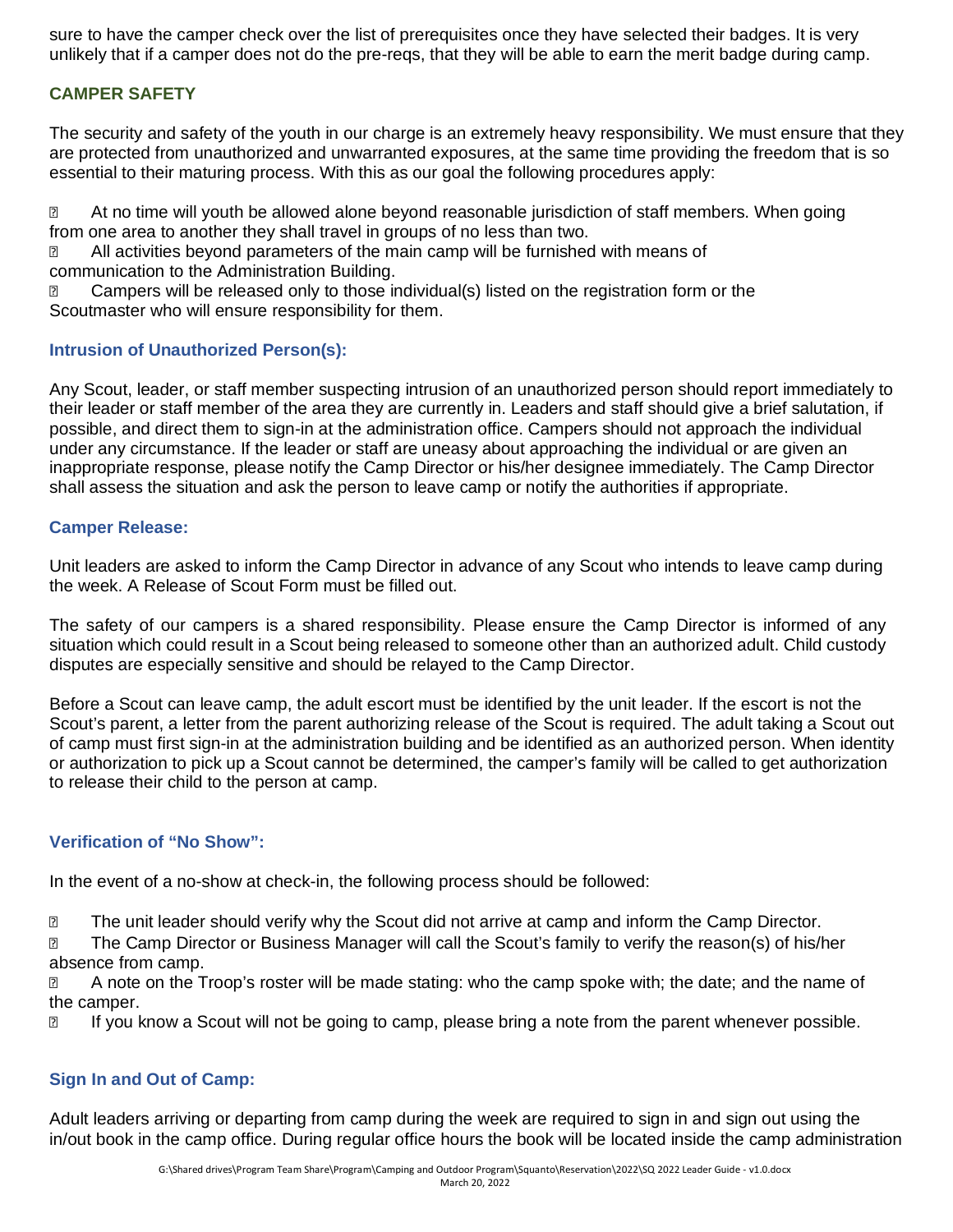sure to have the camper check over the list of prerequisites once they have selected their badges. It is very unlikely that if a camper does not do the pre-reqs, that they will be able to earn the merit badge during camp.

#### **CAMPER SAFETY**

The security and safety of the youth in our charge is an extremely heavy responsibility. We must ensure that they are protected from unauthorized and unwarranted exposures, at the same time providing the freedom that is so essential to their maturing process. With this as our goal the following procedures apply:

**2** At no time will youth be allowed alone beyond reasonable jurisdiction of staff members. When going from one area to another they shall travel in groups of no less than two.

**Z** All activities beyond parameters of the main camp will be furnished with means of communication to the Administration Building.

**Z** Campers will be released only to those individual(s) listed on the registration form or the Scoutmaster who will ensure responsibility for them.

#### **Intrusion of Unauthorized Person(s):**

Any Scout, leader, or staff member suspecting intrusion of an unauthorized person should report immediately to their leader or staff member of the area they are currently in. Leaders and staff should give a brief salutation, if possible, and direct them to sign-in at the administration office. Campers should not approach the individual under any circumstance. If the leader or staff are uneasy about approaching the individual or are given an inappropriate response, please notify the Camp Director or his/her designee immediately. The Camp Director shall assess the situation and ask the person to leave camp or notify the authorities if appropriate.

#### **Camper Release:**

Unit leaders are asked to inform the Camp Director in advance of any Scout who intends to leave camp during the week. A Release of Scout Form must be filled out.

The safety of our campers is a shared responsibility. Please ensure the Camp Director is informed of any situation which could result in a Scout being released to someone other than an authorized adult. Child custody disputes are especially sensitive and should be relayed to the Camp Director.

Before a Scout can leave camp, the adult escort must be identified by the unit leader. If the escort is not the Scout's parent, a letter from the parent authorizing release of the Scout is required. The adult taking a Scout out of camp must first sign-in at the administration building and be identified as an authorized person. When identity or authorization to pick up a Scout cannot be determined, the camper's family will be called to get authorization to release their child to the person at camp.

#### **Verification of "No Show":**

In the event of a no-show at check-in, the following process should be followed:

**If all the unit leader should verify why the Scout did not arrive at camp and inform the Camp Director.** 

**The Camp Director or Business Manager will call the Scout's family to verify the reason(s) of his/her** absence from camp.

**E** A note on the Troop's roster will be made stating: who the camp spoke with; the date; and the name of the camper.

If you know a Scout will not be going to camp, please bring a note from the parent whenever possible.

#### **Sign In and Out of Camp:**

Adult leaders arriving or departing from camp during the week are required to sign in and sign out using the in/out book in the camp office. During regular office hours the book will be located inside the camp administration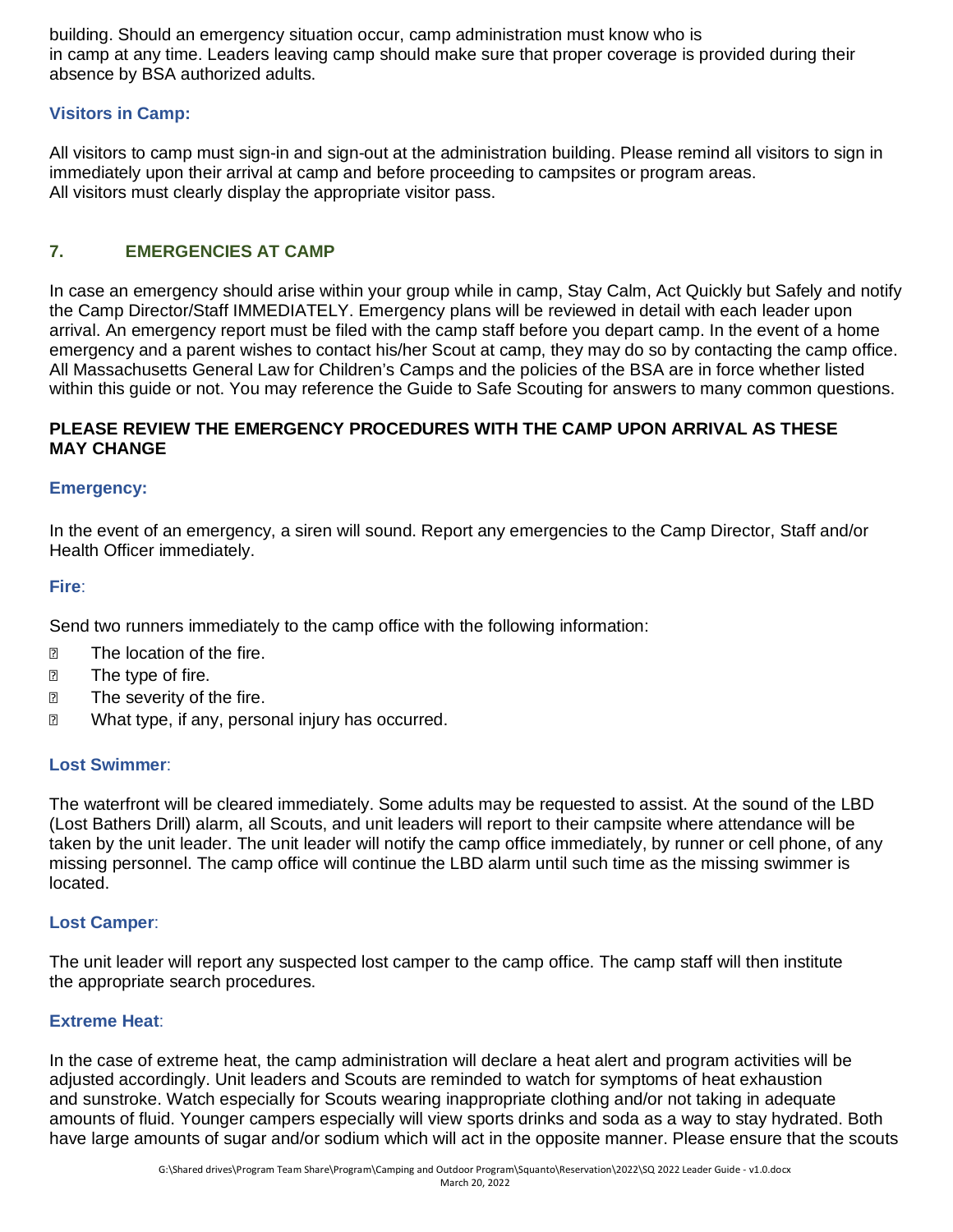building. Should an emergency situation occur, camp administration must know who is in camp at any time. Leaders leaving camp should make sure that proper coverage is provided during their absence by BSA authorized adults.

#### **Visitors in Camp:**

All visitors to camp must sign-in and sign-out at the administration building. Please remind all visitors to sign in immediately upon their arrival at camp and before proceeding to campsites or program areas. All visitors must clearly display the appropriate visitor pass.

#### **7. EMERGENCIES AT CAMP**

In case an emergency should arise within your group while in camp, Stay Calm, Act Quickly but Safely and notify the Camp Director/Staff IMMEDIATELY. Emergency plans will be reviewed in detail with each leader upon arrival. An emergency report must be filed with the camp staff before you depart camp. In the event of a home emergency and a parent wishes to contact his/her Scout at camp, they may do so by contacting the camp office. All Massachusetts General Law for Children's Camps and the policies of the BSA are in force whether listed within this guide or not. You may reference the Guide to Safe Scouting for answers to many common questions.

#### **PLEASE REVIEW THE EMERGENCY PROCEDURES WITH THE CAMP UPON ARRIVAL AS THESE MAY CHANGE**

#### **Emergency:**

In the event of an emergency, a siren will sound. Report any emergencies to the Camp Director, Staff and/or Health Officer immediately.

#### **Fire**:

Send two runners immediately to the camp office with the following information:

- **The location of the fire.**
- **The type of fire.**
- **2** The severity of the fire.
- **2** What type, if any, personal injury has occurred.

#### **Lost Swimmer**:

The waterfront will be cleared immediately. Some adults may be requested to assist. At the sound of the LBD (Lost Bathers Drill) alarm, all Scouts, and unit leaders will report to their campsite where attendance will be taken by the unit leader. The unit leader will notify the camp office immediately, by runner or cell phone, of any missing personnel. The camp office will continue the LBD alarm until such time as the missing swimmer is located.

#### **Lost Camper**:

The unit leader will report any suspected lost camper to the camp office. The camp staff will then institute the appropriate search procedures.

#### **Extreme Heat**:

In the case of extreme heat, the camp administration will declare a heat alert and program activities will be adjusted accordingly. Unit leaders and Scouts are reminded to watch for symptoms of heat exhaustion and sunstroke. Watch especially for Scouts wearing inappropriate clothing and/or not taking in adequate amounts of fluid. Younger campers especially will view sports drinks and soda as a way to stay hydrated. Both have large amounts of sugar and/or sodium which will act in the opposite manner. Please ensure that the scouts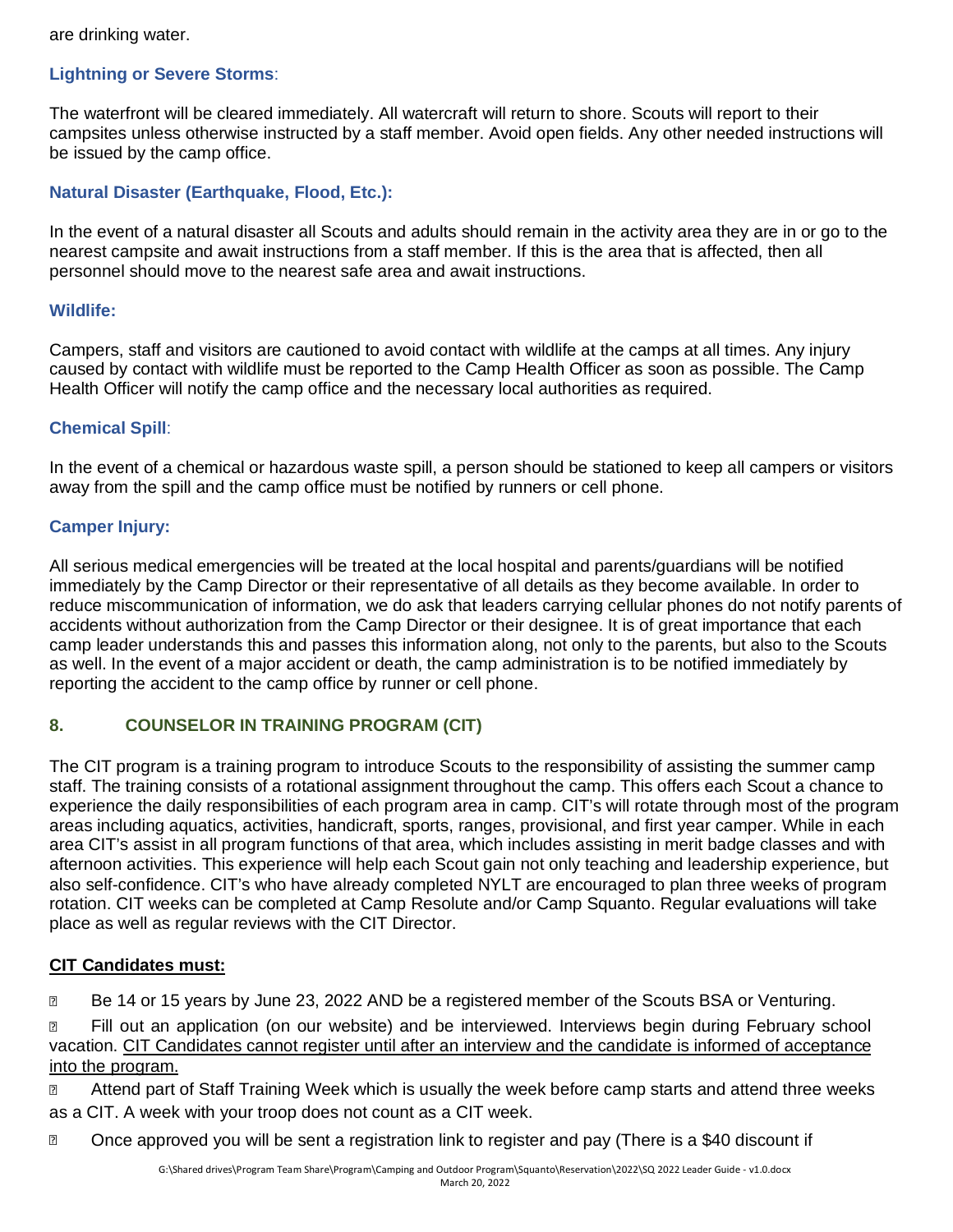are drinking water.

#### **Lightning or Severe Storms**:

The waterfront will be cleared immediately. All watercraft will return to shore. Scouts will report to their campsites unless otherwise instructed by a staff member. Avoid open fields. Any other needed instructions will be issued by the camp office.

#### **Natural Disaster (Earthquake, Flood, Etc.):**

In the event of a natural disaster all Scouts and adults should remain in the activity area they are in or go to the nearest campsite and await instructions from a staff member. If this is the area that is affected, then all personnel should move to the nearest safe area and await instructions.

#### **Wildlife:**

Campers, staff and visitors are cautioned to avoid contact with wildlife at the camps at all times. Any injury caused by contact with wildlife must be reported to the Camp Health Officer as soon as possible. The Camp Health Officer will notify the camp office and the necessary local authorities as required.

#### **Chemical Spill**:

In the event of a chemical or hazardous waste spill, a person should be stationed to keep all campers or visitors away from the spill and the camp office must be notified by runners or cell phone.

#### **Camper Injury:**

All serious medical emergencies will be treated at the local hospital and parents/guardians will be notified immediately by the Camp Director or their representative of all details as they become available. In order to reduce miscommunication of information, we do ask that leaders carrying cellular phones do not notify parents of accidents without authorization from the Camp Director or their designee. It is of great importance that each camp leader understands this and passes this information along, not only to the parents, but also to the Scouts as well. In the event of a major accident or death, the camp administration is to be notified immediately by reporting the accident to the camp office by runner or cell phone.

#### **8. COUNSELOR IN TRAINING PROGRAM (CIT)**

The CIT program is a training program to introduce Scouts to the responsibility of assisting the summer camp staff. The training consists of a rotational assignment throughout the camp. This offers each Scout a chance to experience the daily responsibilities of each program area in camp. CIT's will rotate through most of the program areas including aquatics, activities, handicraft, sports, ranges, provisional, and first year camper. While in each area CIT's assist in all program functions of that area, which includes assisting in merit badge classes and with afternoon activities. This experience will help each Scout gain not only teaching and leadership experience, but also self-confidence. CIT's who have already completed NYLT are encouraged to plan three weeks of program rotation. CIT weeks can be completed at Camp Resolute and/or Camp Squanto. Regular evaluations will take place as well as regular reviews with the CIT Director.

#### **CIT Candidates must:**

**Be 14 or 15 years by June 23, 2022 AND be a registered member of the Scouts BSA or Venturing.** 

**EXT** Fill out an application (on our website) and be interviewed. Interviews begin during February school vacation. CIT Candidates cannot register until after an interview and the candidate is informed of acceptance into the program.

**2** Attend part of Staff Training Week which is usually the week before camp starts and attend three weeks as a CIT. A week with your troop does not count as a CIT week.

**Demographs on Sept 20** Once approved you will be sent a registration link to register and pay (There is a \$40 discount if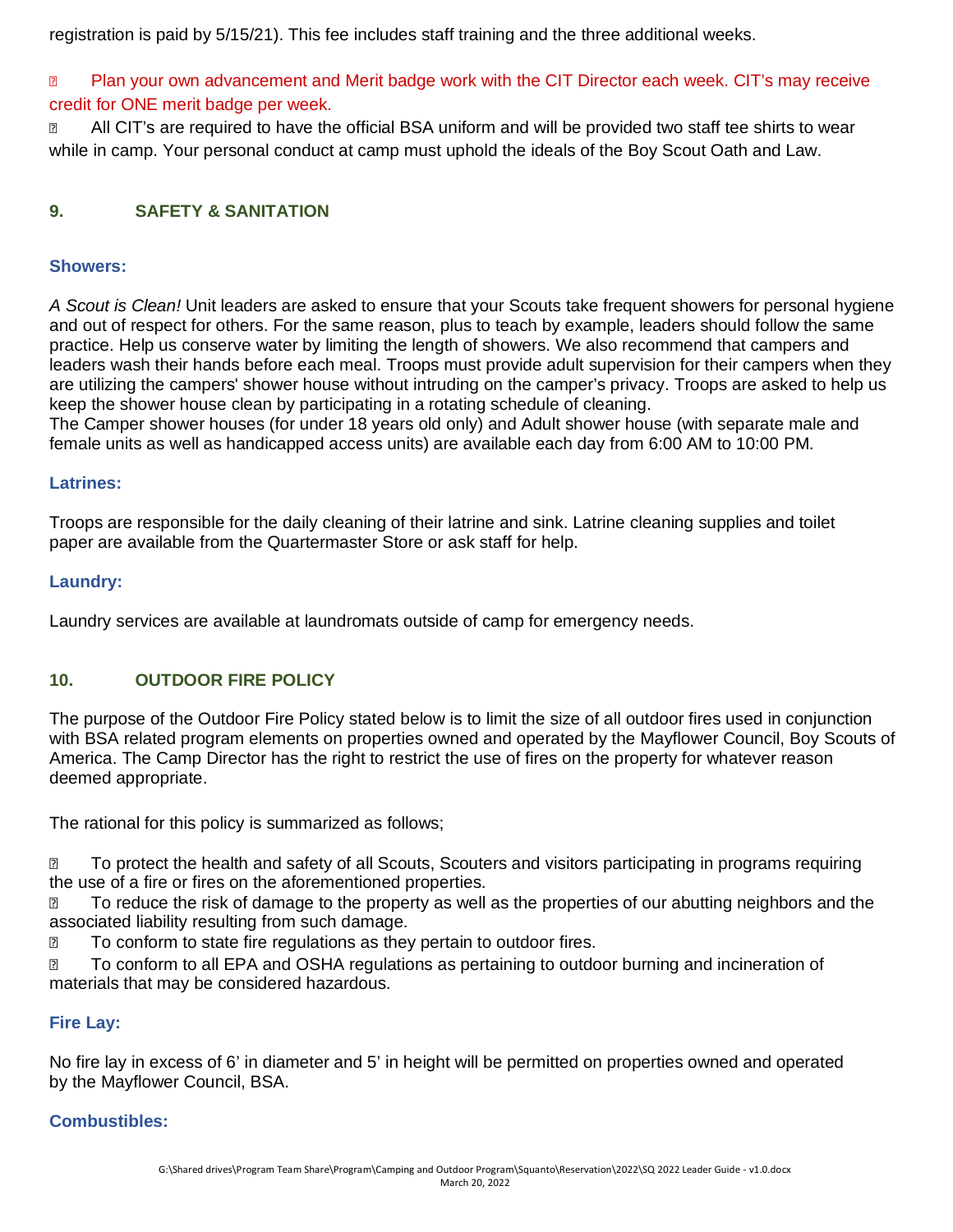registration is paid by 5/15/21). This fee includes staff training and the three additional weeks.

**2** Plan your own advancement and Merit badge work with the CIT Director each week. CIT's may receive credit for ONE merit badge per week.

**n.** All CIT's are required to have the official BSA uniform and will be provided two staff tee shirts to wear while in camp. Your personal conduct at camp must uphold the ideals of the Boy Scout Oath and Law.

#### **9. SAFETY & SANITATION**

#### **Showers:**

*A Scout is Clean!* Unit leaders are asked to ensure that your Scouts take frequent showers for personal hygiene and out of respect for others. For the same reason, plus to teach by example, leaders should follow the same practice. Help us conserve water by limiting the length of showers. We also recommend that campers and leaders wash their hands before each meal. Troops must provide adult supervision for their campers when they are utilizing the campers' shower house without intruding on the camper's privacy. Troops are asked to help us keep the shower house clean by participating in a rotating schedule of cleaning.

The Camper shower houses (for under 18 years old only) and Adult shower house (with separate male and female units as well as handicapped access units) are available each day from 6:00 AM to 10:00 PM.

#### **Latrines:**

Troops are responsible for the daily cleaning of their latrine and sink. Latrine cleaning supplies and toilet paper are available from the Quartermaster Store or ask staff for help.

#### **Laundry:**

Laundry services are available at laundromats outside of camp for emergency needs.

#### **10. OUTDOOR FIRE POLICY**

The purpose of the Outdoor Fire Policy stated below is to limit the size of all outdoor fires used in conjunction with BSA related program elements on properties owned and operated by the Mayflower Council, Boy Scouts of America. The Camp Director has the right to restrict the use of fires on the property for whatever reason deemed appropriate.

The rational for this policy is summarized as follows;

■ To protect the health and safety of all Scouts, Scouters and visitors participating in programs requiring the use of a fire or fires on the aforementioned properties.

□ To reduce the risk of damage to the property as well as the properties of our abutting neighbors and the associated liability resulting from such damage.

□ To conform to state fire regulations as they pertain to outdoor fires.

■ To conform to all EPA and OSHA regulations as pertaining to outdoor burning and incineration of materials that may be considered hazardous.

#### **Fire Lay:**

No fire lay in excess of 6' in diameter and 5' in height will be permitted on properties owned and operated by the Mayflower Council, BSA.

#### **Combustibles:**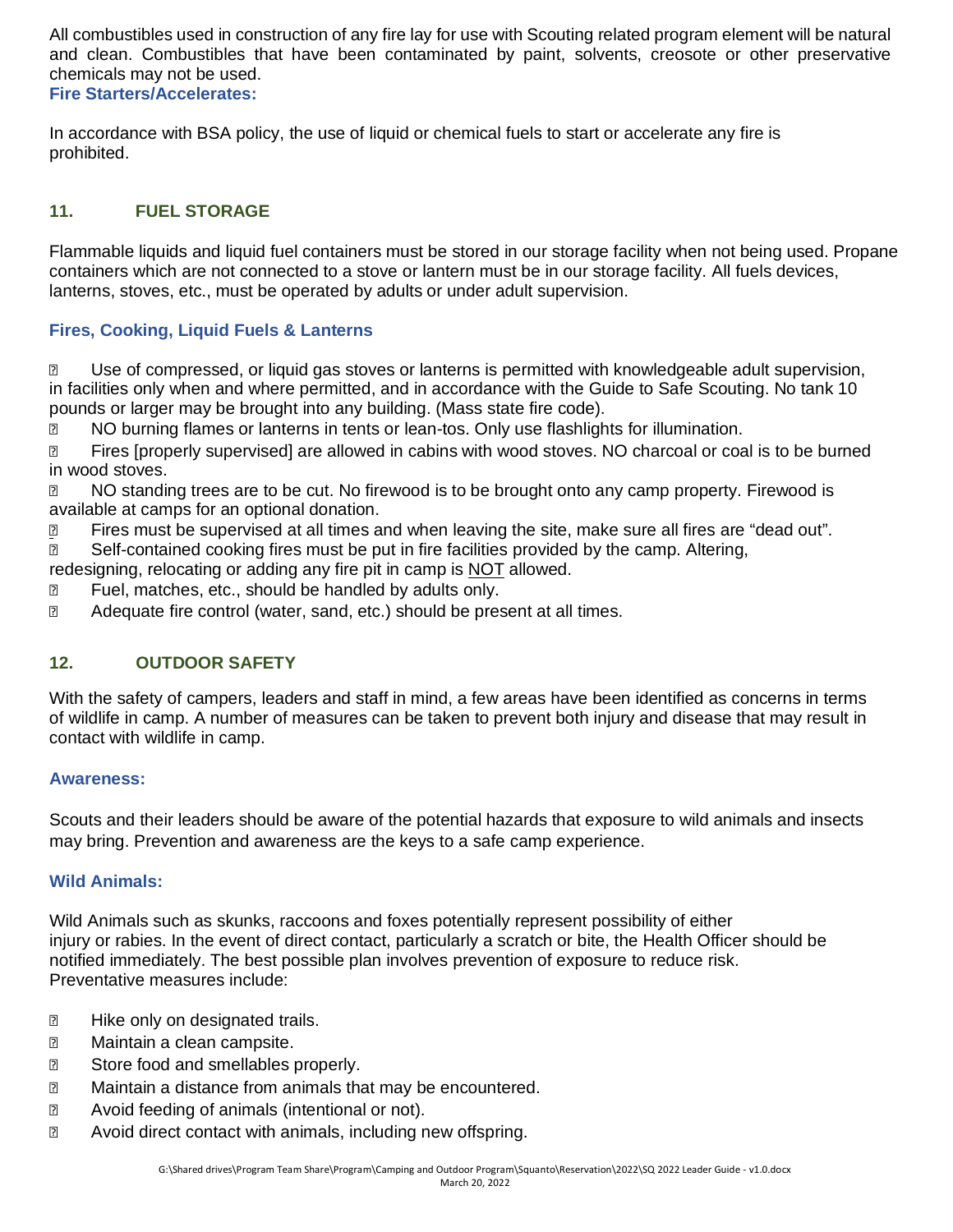All combustibles used in construction of any fire lay for use with Scouting related program element will be natural and clean. Combustibles that have been contaminated by paint, solvents, creosote or other preservative chemicals may not be used.

**Fire Starters/Accelerates:**

In accordance with BSA policy, the use of liquid or chemical fuels to start or accelerate any fire is prohibited.

#### **11. FUEL STORAGE**

Flammable liquids and liquid fuel containers must be stored in our storage facility when not being used. Propane containers which are not connected to a stove or lantern must be in our storage facility. All fuels devices, lanterns, stoves, etc., must be operated by adults or under adult supervision.

#### **Fires, Cooking, Liquid Fuels & Lanterns**

 Use of compressed, or liquid gas stoves or lanterns is permitted with knowledgeable adult supervision, in facilities only when and where permitted, and in accordance with the Guide to Safe Scouting. No tank 10 pounds or larger may be brought into any building. (Mass state fire code).

**NO burning flames or lanterns in tents or lean-tos. Only use flashlights for illumination.** 

**Example 1** Fires [properly supervised] are allowed in cabins with wood stoves. NO charcoal or coal is to be burned in wood stoves.

**NO** standing trees are to be cut. No firewood is to be brought onto any camp property. Firewood is available at camps for an optional donation.

**If the supermised at all times and when leaving the site, make sure all fires are "dead out".** 

**B** Self-contained cooking fires must be put in fire facilities provided by the camp. Altering,

redesigning, relocating or adding any fire pit in camp is NOT allowed.

**EXECU**: Fuel, matches, etc., should be handled by adults only.

Adequate fire control (water, sand, etc.) should be present at all times.

#### **12. OUTDOOR SAFETY**

With the safety of campers, leaders and staff in mind, a few areas have been identified as concerns in terms of wildlife in camp. A number of measures can be taken to prevent both injury and disease that may result in contact with wildlife in camp.

#### **Awareness:**

Scouts and their leaders should be aware of the potential hazards that exposure to wild animals and insects may bring. Prevention and awareness are the keys to a safe camp experience.

#### **Wild Animals:**

Wild Animals such as skunks, raccoons and foxes potentially represent possibility of either injury or rabies. In the event of direct contact, particularly a scratch or bite, the Health Officer should be notified immediately. The best possible plan involves prevention of exposure to reduce risk. Preventative measures include:

- **E** Hike only on designated trails.
- **2** Maintain a clean campsite.
- **2** Store food and smellables properly.
- **2** Maintain a distance from animals that may be encountered.
- **2** Avoid feeding of animals (intentional or not).
- **2** Avoid direct contact with animals, including new offspring.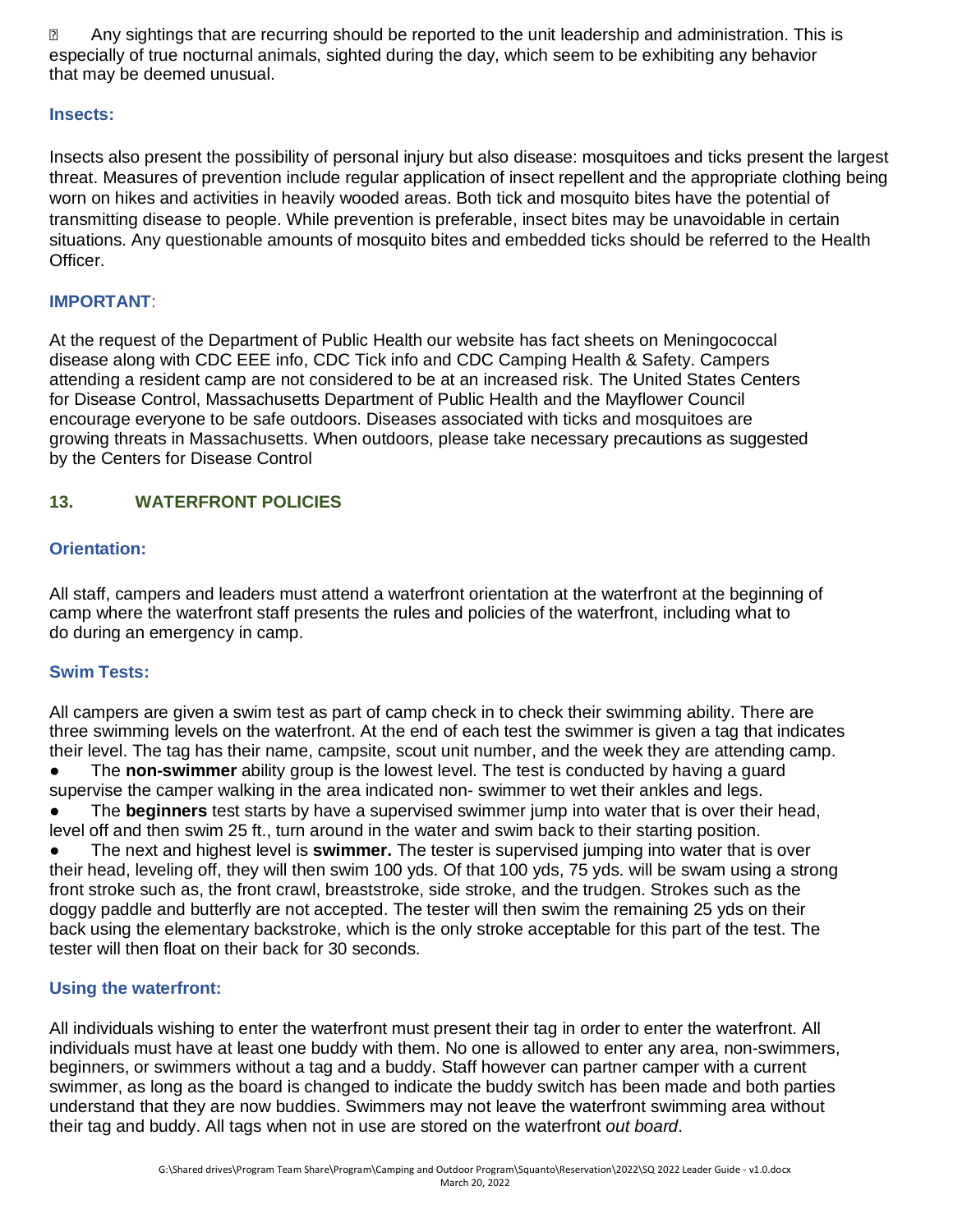**E** Any sightings that are recurring should be reported to the unit leadership and administration. This is especially of true nocturnal animals, sighted during the day, which seem to be exhibiting any behavior that may be deemed unusual.

#### **Insects:**

Insects also present the possibility of personal injury but also disease: mosquitoes and ticks present the largest threat. Measures of prevention include regular application of insect repellent and the appropriate clothing being worn on hikes and activities in heavily wooded areas. Both tick and mosquito bites have the potential of transmitting disease to people. While prevention is preferable, insect bites may be unavoidable in certain situations. Any questionable amounts of mosquito bites and embedded ticks should be referred to the Health Officer.

#### **IMPORTANT**:

At the request of the Department of Public Health our website has fact sheets on Meningococcal disease along with CDC EEE info, CDC Tick info and CDC Camping Health & Safety. Campers attending a resident camp are not considered to be at an increased risk. The United States Centers for Disease Control, Massachusetts Department of Public Health and the Mayflower Council encourage everyone to be safe outdoors. Diseases associated with ticks and mosquitoes are growing threats in Massachusetts. When outdoors, please take necessary precautions as suggested by the Centers for Disease Control

#### **13. WATERFRONT POLICIES**

#### **Orientation:**

All staff, campers and leaders must attend a waterfront orientation at the waterfront at the beginning of camp where the waterfront staff presents the rules and policies of the waterfront, including what to do during an emergency in camp.

#### **Swim Tests:**

All campers are given a swim test as part of camp check in to check their swimming ability. There are three swimming levels on the waterfront. At the end of each test the swimmer is given a tag that indicates their level. The tag has their name, campsite, scout unit number, and the week they are attending camp.

The **non-swimmer** ability group is the lowest level. The test is conducted by having a guard supervise the camper walking in the area indicated non- swimmer to wet their ankles and legs.

The **beginners** test starts by have a supervised swimmer jump into water that is over their head, level off and then swim 25 ft., turn around in the water and swim back to their starting position.

● The next and highest level is **swimmer.** The tester is supervised jumping into water that is over their head, leveling off, they will then swim 100 yds. Of that 100 yds, 75 yds. will be swam using a strong front stroke such as, the front crawl, breaststroke, side stroke, and the trudgen. Strokes such as the doggy paddle and butterfly are not accepted. The tester will then swim the remaining 25 yds on their back using the elementary backstroke, which is the only stroke acceptable for this part of the test. The tester will then float on their back for 30 seconds.

#### **Using the waterfront:**

All individuals wishing to enter the waterfront must present their tag in order to enter the waterfront. All individuals must have at least one buddy with them. No one is allowed to enter any area, non-swimmers, beginners, or swimmers without a tag and a buddy. Staff however can partner camper with a current swimmer, as long as the board is changed to indicate the buddy switch has been made and both parties understand that they are now buddies. Swimmers may not leave the waterfront swimming area without their tag and buddy. All tags when not in use are stored on the waterfront *out board*.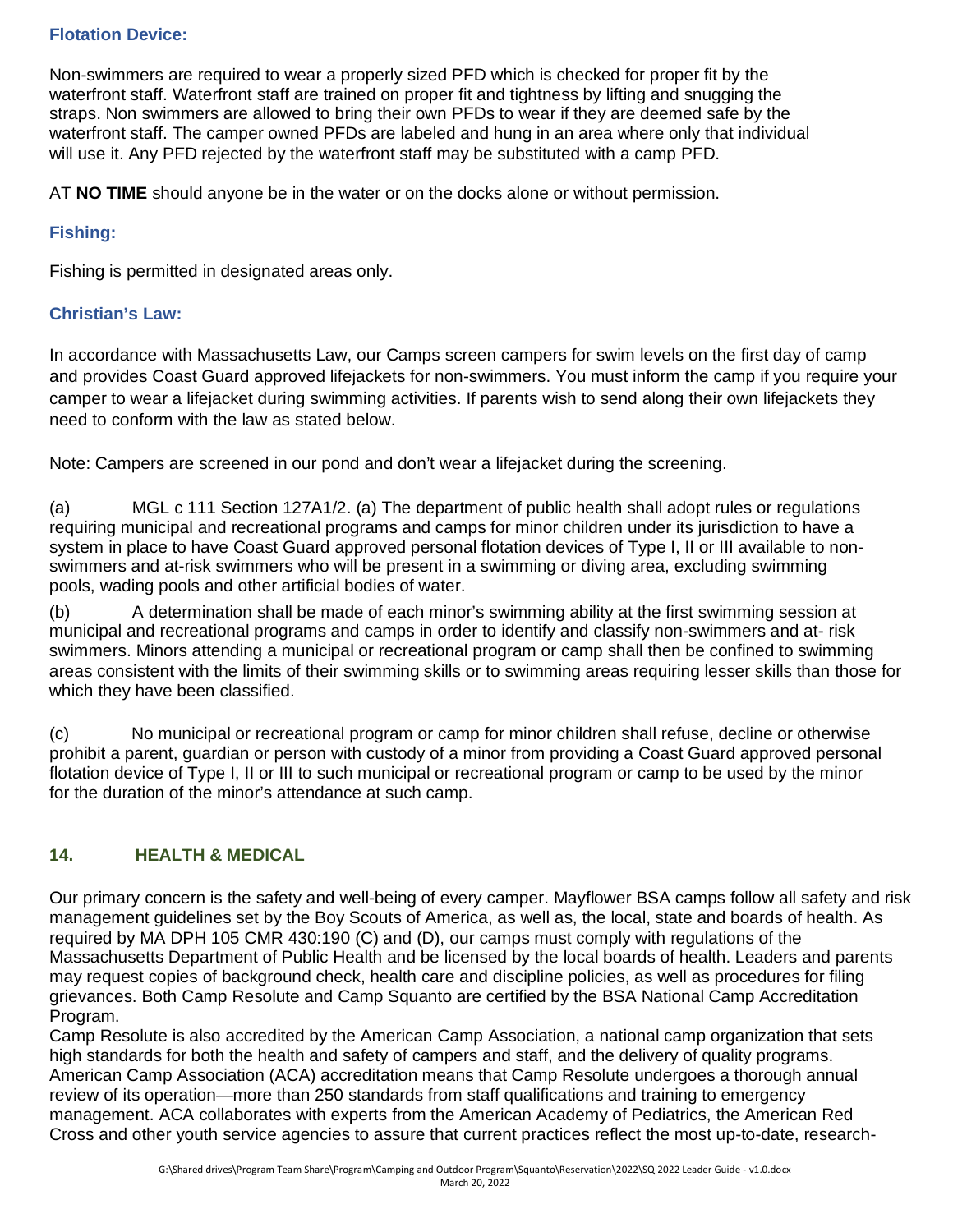#### **Flotation Device:**

Non-swimmers are required to wear a properly sized PFD which is checked for proper fit by the waterfront staff. Waterfront staff are trained on proper fit and tightness by lifting and snugging the straps. Non swimmers are allowed to bring their own PFDs to wear if they are deemed safe by the waterfront staff. The camper owned PFDs are labeled and hung in an area where only that individual will use it. Any PFD rejected by the waterfront staff may be substituted with a camp PFD.

AT **NO TIME** should anyone be in the water or on the docks alone or without permission.

#### **Fishing:**

Fishing is permitted in designated areas only.

#### **Christian's Law:**

In accordance with Massachusetts Law, our Camps screen campers for swim levels on the first day of camp and provides Coast Guard approved lifejackets for non-swimmers. You must inform the camp if you require your camper to wear a lifejacket during swimming activities. If parents wish to send along their own lifejackets they need to conform with the law as stated below.

Note: Campers are screened in our pond and don't wear a lifejacket during the screening.

(a) MGL c 111 Section 127A1/2. (a) The department of public health shall adopt rules or regulations requiring municipal and recreational programs and camps for minor children under its jurisdiction to have a system in place to have Coast Guard approved personal flotation devices of Type I, II or III available to nonswimmers and at-risk swimmers who will be present in a swimming or diving area, excluding swimming pools, wading pools and other artificial bodies of water.

(b) A determination shall be made of each minor's swimming ability at the first swimming session at municipal and recreational programs and camps in order to identify and classify non-swimmers and at- risk swimmers. Minors attending a municipal or recreational program or camp shall then be confined to swimming areas consistent with the limits of their swimming skills or to swimming areas requiring lesser skills than those for which they have been classified.

(c) No municipal or recreational program or camp for minor children shall refuse, decline or otherwise prohibit a parent, guardian or person with custody of a minor from providing a Coast Guard approved personal flotation device of Type I, II or III to such municipal or recreational program or camp to be used by the minor for the duration of the minor's attendance at such camp.

#### **14. HEALTH & MEDICAL**

required by MA DPH 105 CMR 430:190 (C) and (D), our camps must comply with regulations of the Our primary concern is the safety and well-being of every camper. Mayflower BSA camps follow all safety and risk management guidelines set by the Boy Scouts of America, as well as, the local, state and boards of health. As Massachusetts Department of Public Health and be licensed by the local boards of health. Leaders and parents may request copies of background check, health care and discipline policies, as well as procedures for filing grievances. Both Camp Resolute and Camp Squanto are certified by the BSA National Camp Accreditation Program.

Camp Resolute is also accredited by the American Camp Association, a national camp organization that sets high standards for both the health and safety of campers and staff, and the delivery of quality programs. American Camp Association (ACA) accreditation means that Camp Resolute undergoes a thorough annual review of its operation—more than 250 standards from staff qualifications and training to emergency management. ACA collaborates with experts from the American Academy of Pediatrics, the American Red Cross and other youth service agencies to assure that current practices reflect the most up-to-date, research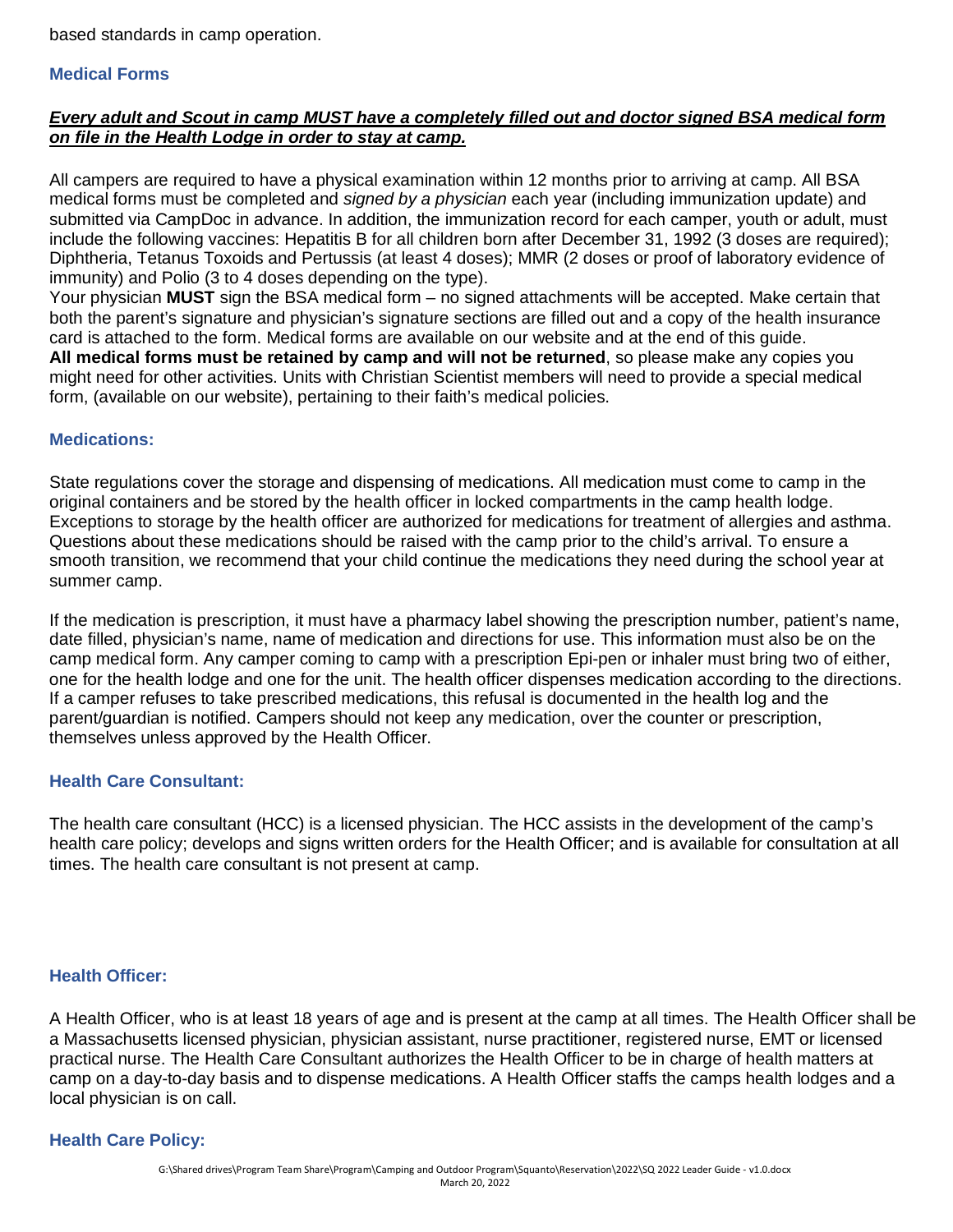based standards in camp operation.

#### **Medical Forms**

#### *Every adult and Scout in camp MUST have a completely filled out and doctor signed BSA medical form on file in the Health Lodge in order to stay at camp.*

All campers are required to have a physical examination within 12 months prior to arriving at camp. All BSA medical forms must be completed and *signed by a physician* each year (including immunization update) and submitted via CampDoc in advance. In addition, the immunization record for each camper, youth or adult, must include the following vaccines: Hepatitis B for all children born after December 31, 1992 (3 doses are required); Diphtheria, Tetanus Toxoids and Pertussis (at least 4 doses); MMR (2 doses or proof of laboratory evidence of immunity) and Polio (3 to 4 doses depending on the type).

Your physician **MUST** sign the BSA medical form – no signed attachments will be accepted. Make certain that both the parent's signature and physician's signature sections are filled out and a copy of the health insurance card is attached to the form. Medical forms are available on our website and at the end of this guide. **All medical forms must be retained by camp and will not be returned**, so please make any copies you might need for other activities. Units with Christian Scientist members will need to provide a special medical form, (available on our website), pertaining to their faith's medical policies.

#### **Medications:**

State regulations cover the storage and dispensing of medications. All medication must come to camp in the original containers and be stored by the health officer in locked compartments in the camp health lodge. Exceptions to storage by the health officer are authorized for medications for treatment of allergies and asthma. Questions about these medications should be raised with the camp prior to the child's arrival. To ensure a smooth transition, we recommend that your child continue the medications they need during the school year at summer camp.

If the medication is prescription, it must have a pharmacy label showing the prescription number, patient's name, date filled, physician's name, name of medication and directions for use. This information must also be on the camp medical form. Any camper coming to camp with a prescription Epi-pen or inhaler must bring two of either, one for the health lodge and one for the unit. The health officer dispenses medication according to the directions. If a camper refuses to take prescribed medications, this refusal is documented in the health log and the parent/guardian is notified. Campers should not keep any medication, over the counter or prescription, themselves unless approved by the Health Officer.

#### **Health Care Consultant:**

The health care consultant (HCC) is a licensed physician. The HCC assists in the development of the camp's health care policy; develops and signs written orders for the Health Officer; and is available for consultation at all times. The health care consultant is not present at camp.

#### **Health Officer:**

A Health Officer, who is at least 18 years of age and is present at the camp at all times. The Health Officer shall be a Massachusetts licensed physician, physician assistant, nurse practitioner, registered nurse, EMT or licensed practical nurse. The Health Care Consultant authorizes the Health Officer to be in charge of health matters at camp on a day-to-day basis and to dispense medications. A Health Officer staffs the camps health lodges and a local physician is on call.

#### **Health Care Policy:**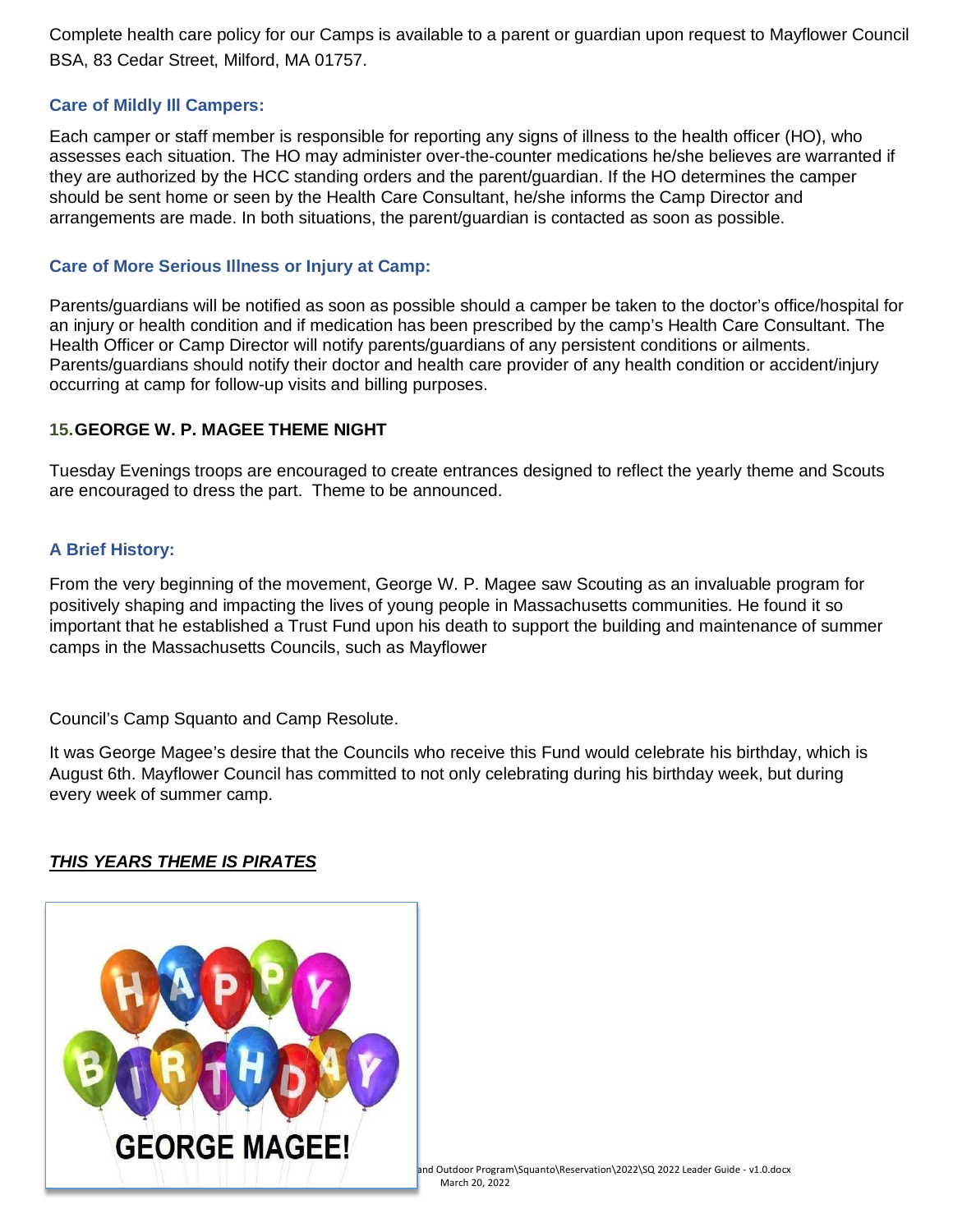Complete health care policy for our Camps is available to a parent or guardian upon request to Mayflower Council BSA, 83 Cedar Street, Milford, MA 01757.

#### **Care of Mildly Ill Campers:**

Each camper or staff member is responsible for reporting any signs of illness to the health officer (HO), who assesses each situation. The HO may administer over-the-counter medications he/she believes are warranted if they are authorized by the HCC standing orders and the parent/guardian. If the HO determines the camper should be sent home or seen by the Health Care Consultant, he/she informs the Camp Director and arrangements are made. In both situations, the parent/guardian is contacted as soon as possible.

#### **Care of More Serious Illness or Injury at Camp:**

Parents/guardians will be notified as soon as possible should a camper be taken to the doctor's office/hospital for an injury or health condition and if medication has been prescribed by the camp's Health Care Consultant. The Health Officer or Camp Director will notify parents/guardians of any persistent conditions or ailments. Parents/guardians should notify their doctor and health care provider of any health condition or accident/injury occurring at camp for follow-up visits and billing purposes.

#### **15.GEORGE W. P. MAGEE THEME NIGHT**

Tuesday Evenings troops are encouraged to create entrances designed to reflect the yearly theme and Scouts are encouraged to dress the part. Theme to be announced.

#### **A Brief History:**

From the very beginning of the movement, George W. P. Magee saw Scouting as an invaluable program for positively shaping and impacting the lives of young people in Massachusetts communities. He found it so important that he established a Trust Fund upon his death to support the building and maintenance of summer camps in the Massachusetts Councils, such as Mayflower

Council's Camp Squanto and Camp Resolute.

It was George Magee's desire that the Councils who receive this Fund would celebrate his birthday, which is August 6th. Mayflower Council has committed to not only celebrating during his birthday week, but during every week of summer camp.

#### *THIS YEARS THEME IS PIRATES*

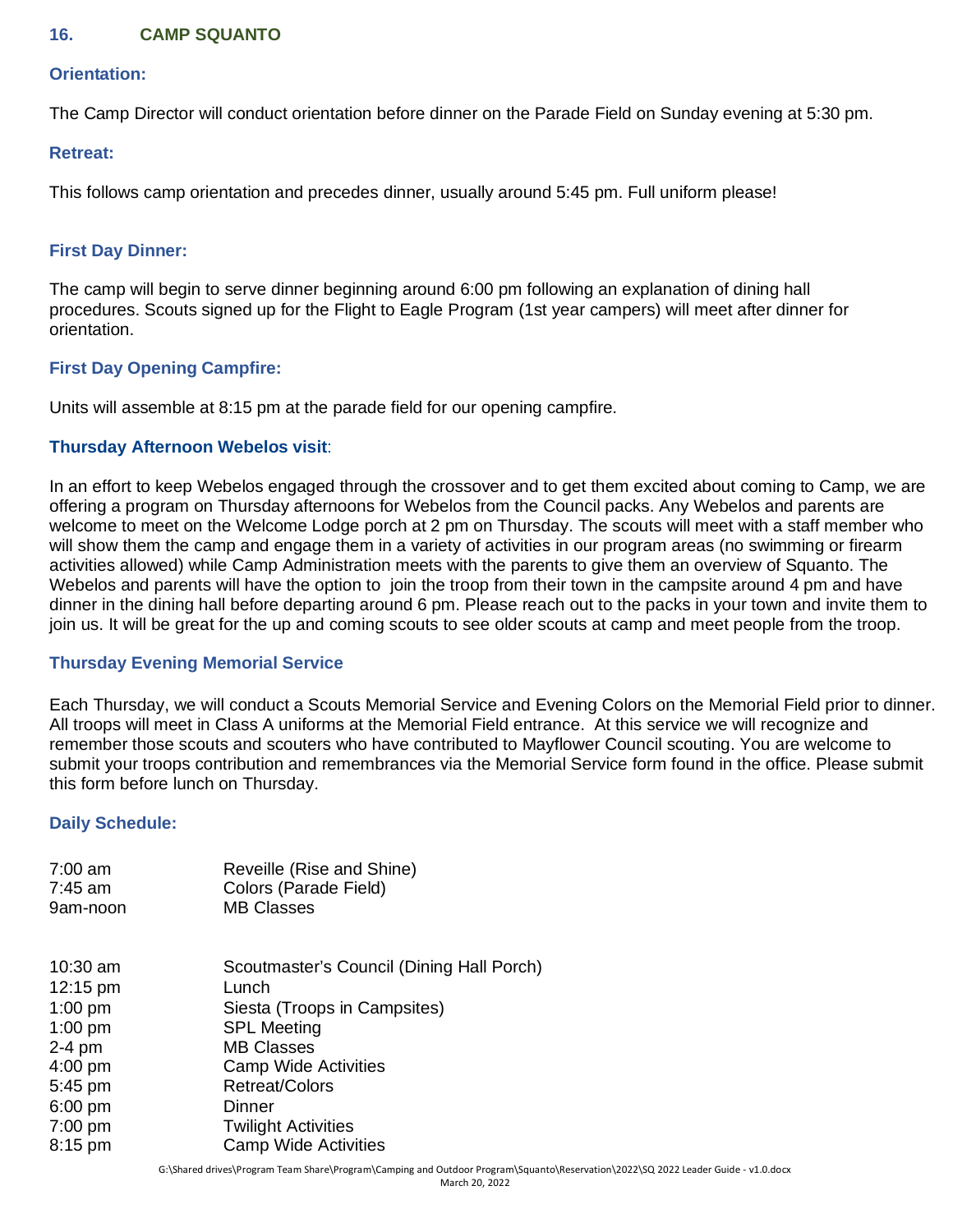#### **16. CAMP SQUANTO**

#### **Orientation:**

The Camp Director will conduct orientation before dinner on the Parade Field on Sunday evening at 5:30 pm.

#### **Retreat:**

This follows camp orientation and precedes dinner, usually around 5:45 pm. Full uniform please!

#### **First Day Dinner:**

The camp will begin to serve dinner beginning around 6:00 pm following an explanation of dining hall procedures. Scouts signed up for the Flight to Eagle Program (1st year campers) will meet after dinner for orientation.

#### **First Day Opening Campfire:**

Units will assemble at 8:15 pm at the parade field for our opening campfire.

#### **Thursday Afternoon Webelos visit**:

In an effort to keep Webelos engaged through the crossover and to get them excited about coming to Camp, we are offering a program on Thursday afternoons for Webelos from the Council packs. Any Webelos and parents are welcome to meet on the Welcome Lodge porch at 2 pm on Thursday. The scouts will meet with a staff member who will show them the camp and engage them in a variety of activities in our program areas (no swimming or firearm activities allowed) while Camp Administration meets with the parents to give them an overview of Squanto. The Webelos and parents will have the option to join the troop from their town in the campsite around 4 pm and have dinner in the dining hall before departing around 6 pm. Please reach out to the packs in your town and invite them to join us. It will be great for the up and coming scouts to see older scouts at camp and meet people from the troop.

#### **Thursday Evening Memorial Service**

Each Thursday, we will conduct a Scouts Memorial Service and Evening Colors on the Memorial Field prior to dinner. All troops will meet in Class A uniforms at the Memorial Field entrance. At this service we will recognize and remember those scouts and scouters who have contributed to Mayflower Council scouting. You are welcome to submit your troops contribution and remembrances via the Memorial Service form found in the office. Please submit this form before lunch on Thursday.

#### **Daily Schedule:**

| $7:00$ am<br>$7:45$ am | Reveille (Rise and Shine)<br>Colors (Parade Field) |
|------------------------|----------------------------------------------------|
| 9am-noon               | <b>MB Classes</b>                                  |
| $10:30$ am             | Scoutmaster's Council (Dining Hall Porch)          |
| 12:15 pm               | Lunch                                              |
| $1:00$ pm              | Siesta (Troops in Campsites)                       |
| $1:00$ pm              | <b>SPL Meeting</b>                                 |
| 2-4 pm                 | <b>MB Classes</b>                                  |
| $4:00$ pm              | <b>Camp Wide Activities</b>                        |
| 5:45 pm                | <b>Retreat/Colors</b>                              |
| $6:00$ pm              | Dinner                                             |
| $7:00$ pm              | <b>Twilight Activities</b>                         |
| 8:15 pm                | <b>Camp Wide Activities</b>                        |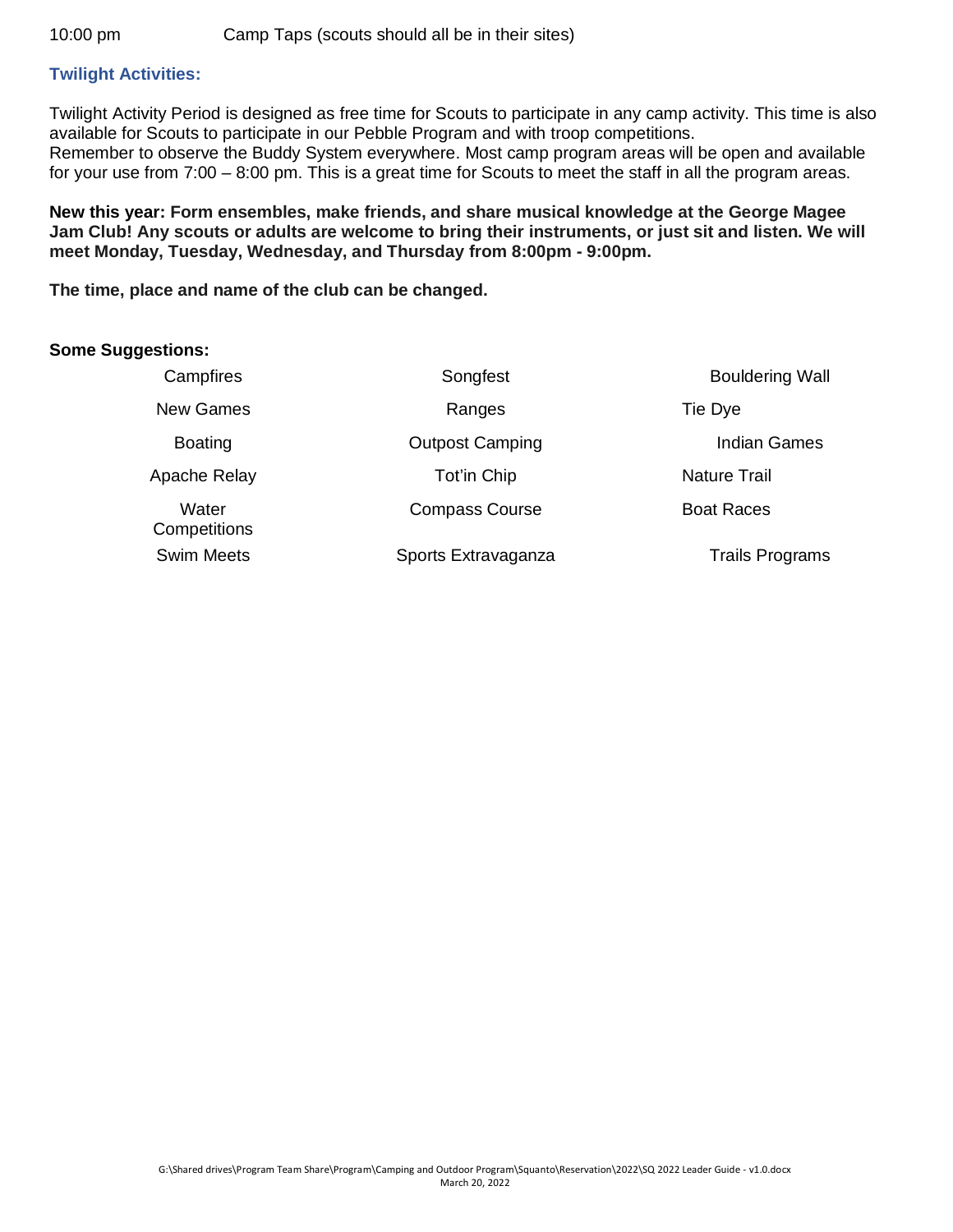#### **Twilight Activities:**

Twilight Activity Period is designed as free time for Scouts to participate in any camp activity. This time is also available for Scouts to participate in our Pebble Program and with troop competitions. Remember to observe the Buddy System everywhere. Most camp program areas will be open and available for your use from 7:00 – 8:00 pm. This is a great time for Scouts to meet the staff in all the program areas.

**New this year: Form ensembles, make friends, and share musical knowledge at the George Magee Jam Club! Any scouts or adults are welcome to bring their instruments, or just sit and listen. We will meet Monday, Tuesday, Wednesday, and Thursday from 8:00pm - 9:00pm.**

**The time, place and name of the club can be changed.**

#### **Some Suggestions:**

| Campfires             | Songfest               | <b>Bouldering Wall</b> |
|-----------------------|------------------------|------------------------|
| <b>New Games</b>      | Ranges                 | Tie Dye                |
| <b>Boating</b>        | <b>Outpost Camping</b> | <b>Indian Games</b>    |
| Apache Relay          | Tot'in Chip            | <b>Nature Trail</b>    |
| Water<br>Competitions | <b>Compass Course</b>  | <b>Boat Races</b>      |
| <b>Swim Meets</b>     | Sports Extravaganza    | <b>Trails Programs</b> |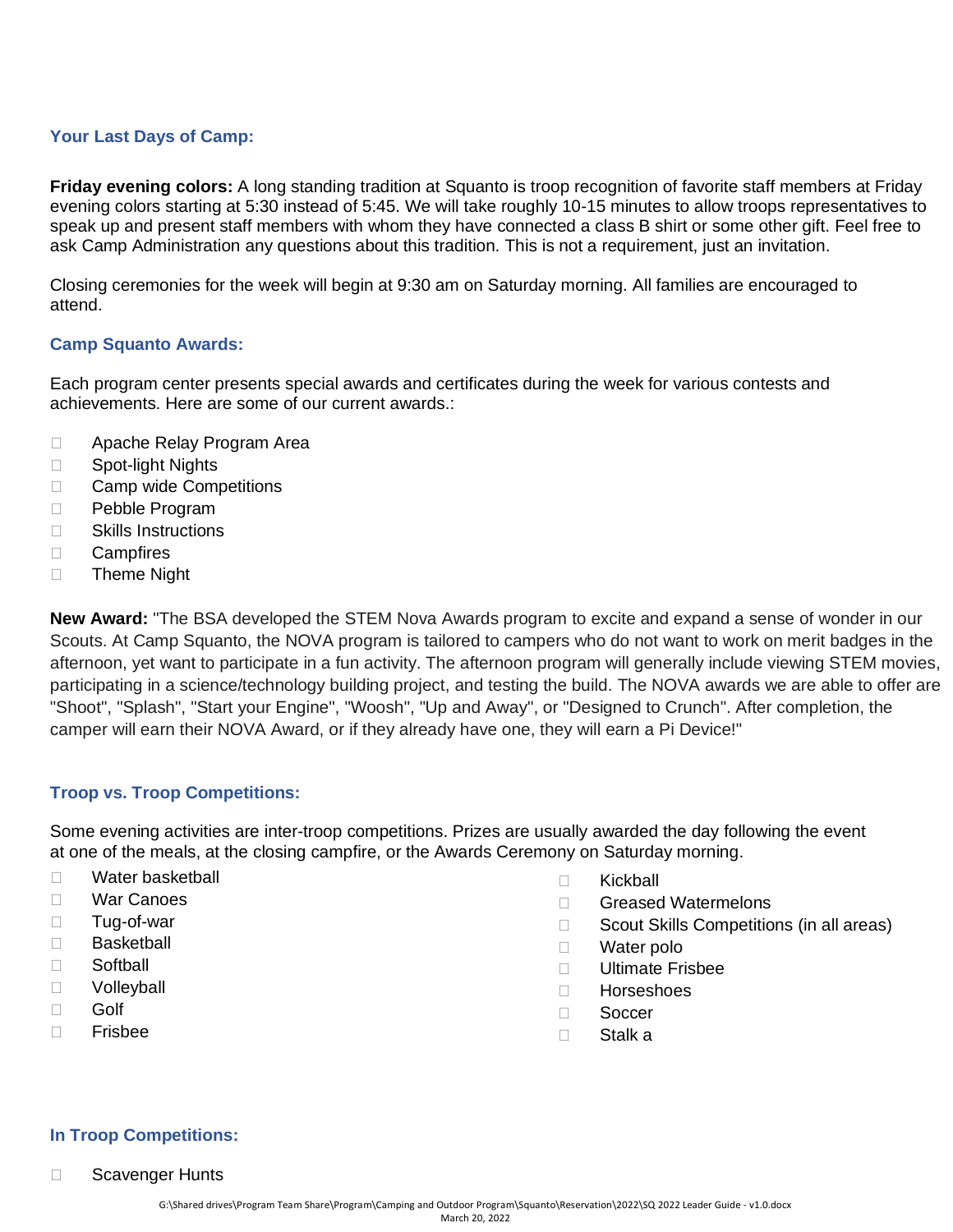#### **Your Last Days of Camp:**

**Friday evening colors:** A long standing tradition at Squanto is troop recognition of favorite staff members at Friday evening colors starting at 5:30 instead of 5:45. We will take roughly 10-15 minutes to allow troops representatives to speak up and present staff members with whom they have connected a class B shirt or some other gift. Feel free to ask Camp Administration any questions about this tradition. This is not a requirement, just an invitation.

Closing ceremonies for the week will begin at 9:30 am on Saturday morning. All families are encouraged to attend.

#### **Camp Squanto Awards:**

Each program center presents special awards and certificates during the week for various contests and achievements. Here are some of our current awards.:

- □ Apache Relay Program Area
- □ Spot-light Nights
- □ Camp wide Competitions
- D Pebble Program
- □ Skills Instructions
- Campfires
- □ Theme Night

**New Award:** "The BSA developed the STEM Nova Awards program to excite and expand a sense of wonder in our Scouts. At Camp Squanto, the NOVA program is tailored to campers who do not want to work on merit badges in the afternoon, yet want to participate in a fun activity. The afternoon program will generally include viewing STEM movies, participating in a science/technology building project, and testing the build. The NOVA awards we are able to offer are "Shoot", "Splash", "Start your Engine", "Woosh", "Up and Away", or "Designed to Crunch". After completion, the camper will earn their NOVA Award, or if they already have one, they will earn a Pi Device!"

#### **Troop vs. Troop Competitions:**

Some evening activities are inter-troop competitions. Prizes are usually awarded the day following the event at one of the meals, at the closing campfire, or the Awards Ceremony on Saturday morning.

- □ Water basketball
- War Canoes
- □ Tug-of-war
- □ Basketball
- □ Softball
- D Volleyball
- □ Golf
- Frisbee
- □ Kickball
- □ Greased Watermelons
- $\Box$  Scout Skills Competitions (in all areas)
- □ Water polo
- Ultimate Frisbee
- Horseshoes
- □ Soccer
- □ Stalk a

#### **In Troop Competitions:**

□ Scavenger Hunts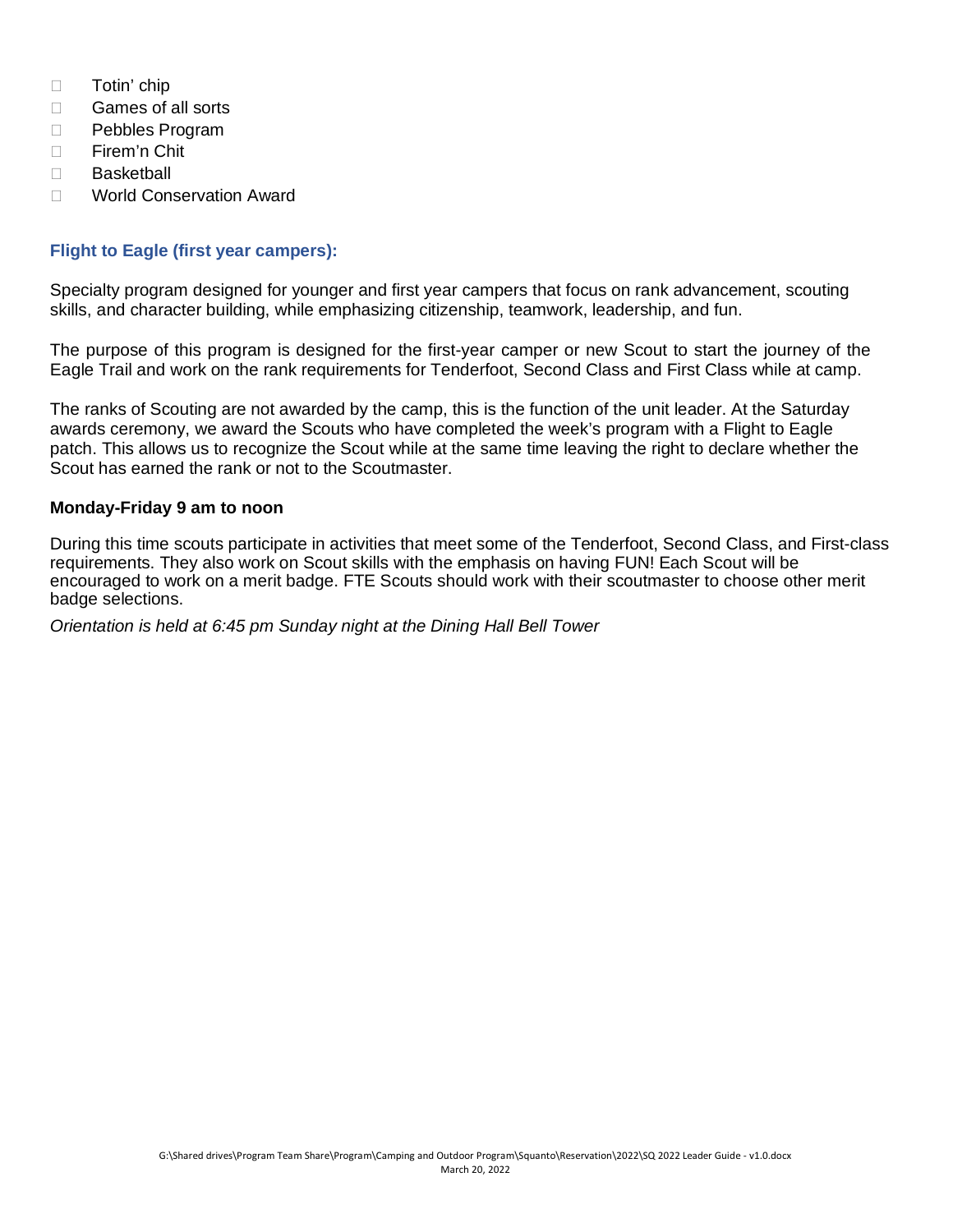- □ Totin' chip
- □ Games of all sorts
- D Pebbles Program
- □ Firem'n Chit
- □ Basketball
- □ World Conservation Award

#### **Flight to Eagle (first year campers):**

Specialty program designed for younger and first year campers that focus on rank advancement, scouting skills, and character building, while emphasizing citizenship, teamwork, leadership, and fun.

The purpose of this program is designed for the first-year camper or new Scout to start the journey of the Eagle Trail and work on the rank requirements for Tenderfoot, Second Class and First Class while at camp.

The ranks of Scouting are not awarded by the camp, this is the function of the unit leader. At the Saturday awards ceremony, we award the Scouts who have completed the week's program with a Flight to Eagle patch. This allows us to recognize the Scout while at the same time leaving the right to declare whether the Scout has earned the rank or not to the Scoutmaster.

#### **Monday-Friday 9 am to noon**

During this time scouts participate in activities that meet some of the Tenderfoot, Second Class, and First-class requirements. They also work on Scout skills with the emphasis on having FUN! Each Scout will be encouraged to work on a merit badge. FTE Scouts should work with their scoutmaster to choose other merit badge selections.

*Orientation is held at 6:45 pm Sunday night at the Dining Hall Bell Tower*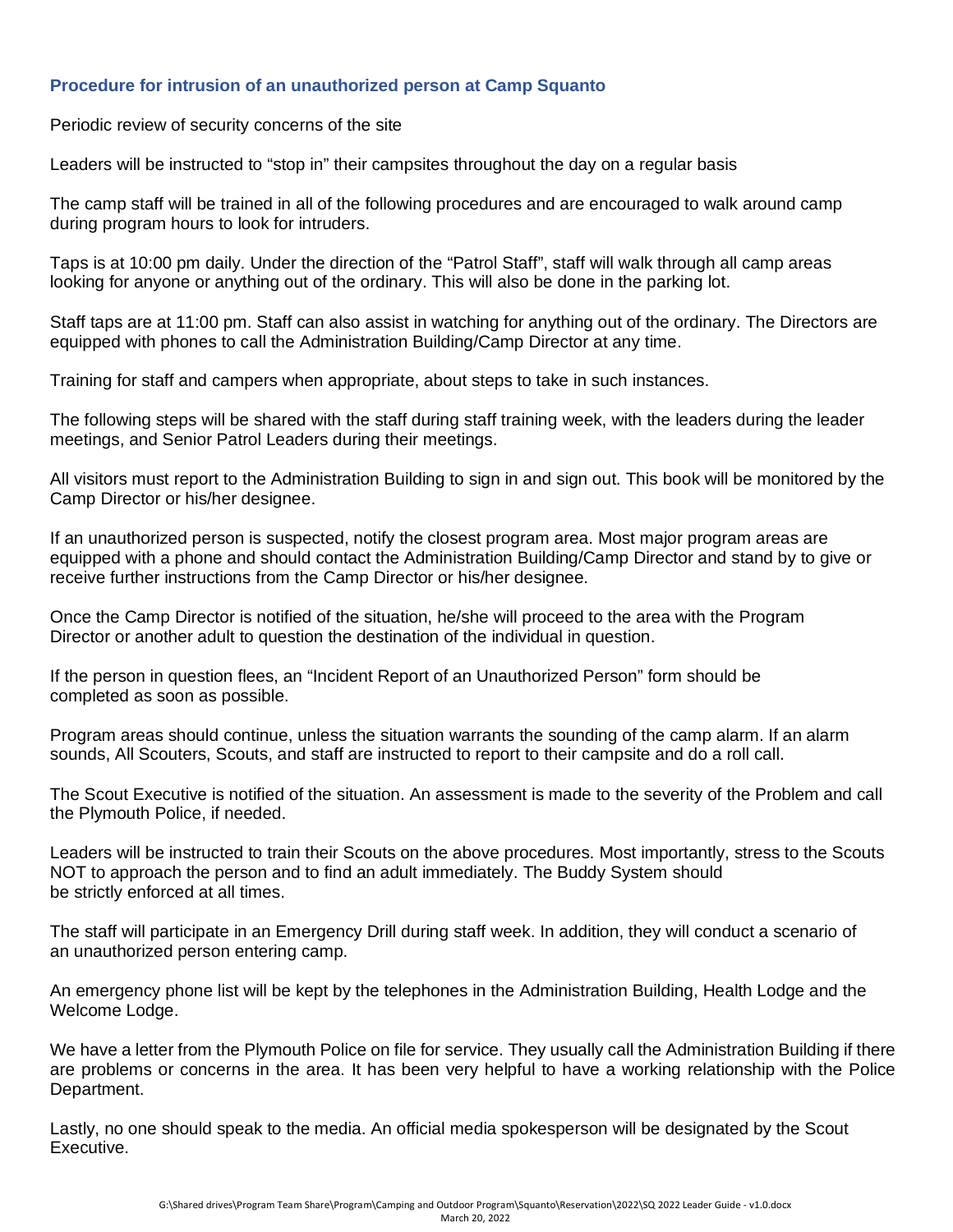#### **Procedure for intrusion of an unauthorized person at Camp Squanto**

Periodic review of security concerns of the site

Leaders will be instructed to "stop in" their campsites throughout the day on a regular basis

The camp staff will be trained in all of the following procedures and are encouraged to walk around camp during program hours to look for intruders.

Taps is at 10:00 pm daily. Under the direction of the "Patrol Staff", staff will walk through all camp areas looking for anyone or anything out of the ordinary. This will also be done in the parking lot.

Staff taps are at 11:00 pm. Staff can also assist in watching for anything out of the ordinary. The Directors are equipped with phones to call the Administration Building/Camp Director at any time.

Training for staff and campers when appropriate, about steps to take in such instances.

The following steps will be shared with the staff during staff training week, with the leaders during the leader meetings, and Senior Patrol Leaders during their meetings.

All visitors must report to the Administration Building to sign in and sign out. This book will be monitored by the Camp Director or his/her designee.

If an unauthorized person is suspected, notify the closest program area. Most major program areas are equipped with a phone and should contact the Administration Building/Camp Director and stand by to give or receive further instructions from the Camp Director or his/her designee.

Once the Camp Director is notified of the situation, he/she will proceed to the area with the Program Director or another adult to question the destination of the individual in question.

If the person in question flees, an "Incident Report of an Unauthorized Person" form should be completed as soon as possible.

Program areas should continue, unless the situation warrants the sounding of the camp alarm. If an alarm sounds, All Scouters, Scouts, and staff are instructed to report to their campsite and do a roll call.

The Scout Executive is notified of the situation. An assessment is made to the severity of the Problem and call the Plymouth Police, if needed.

Leaders will be instructed to train their Scouts on the above procedures. Most importantly, stress to the Scouts NOT to approach the person and to find an adult immediately. The Buddy System should be strictly enforced at all times.

The staff will participate in an Emergency Drill during staff week. In addition, they will conduct a scenario of an unauthorized person entering camp.

An emergency phone list will be kept by the telephones in the Administration Building, Health Lodge and the Welcome Lodge.

We have a letter from the Plymouth Police on file for service. They usually call the Administration Building if there are problems or concerns in the area. It has been very helpful to have a working relationship with the Police Department.

Lastly, no one should speak to the media. An official media spokesperson will be designated by the Scout Executive.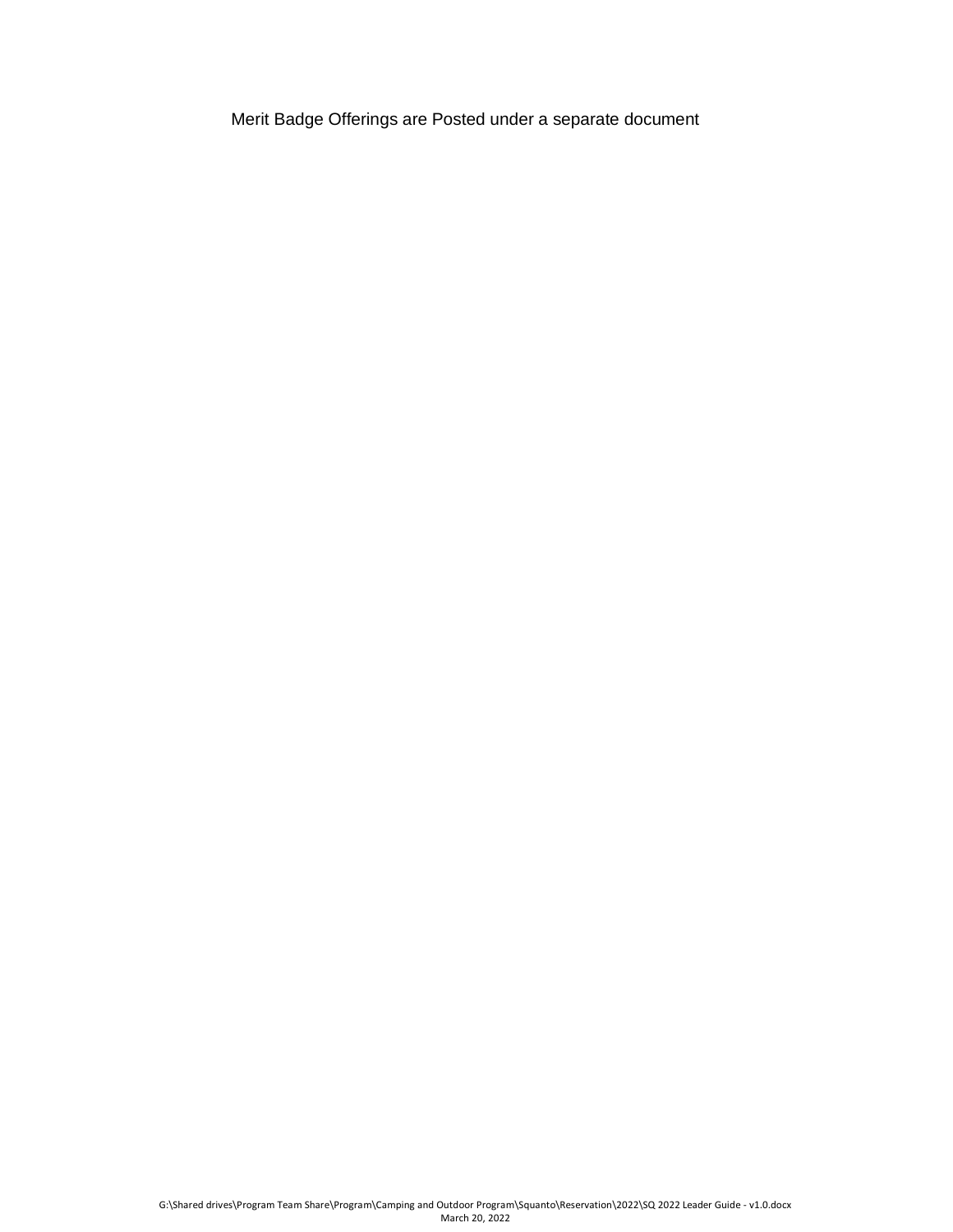Merit Badge Offerings are Posted under a separate document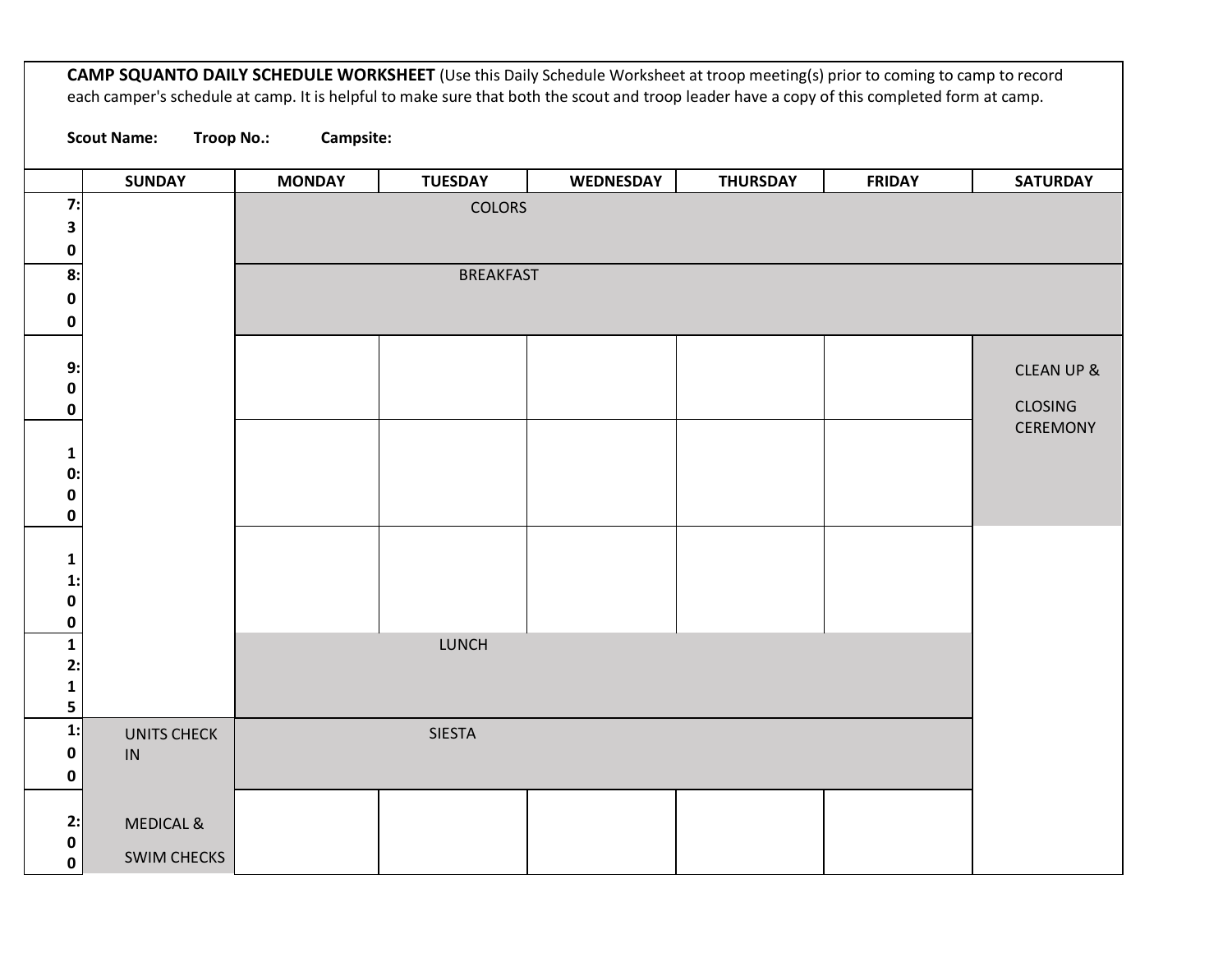**CAMP SQUANTO DAILY SCHEDULE WORKSHEET** (Use this Daily Schedule Worksheet at troop meeting(s) prior to coming to camp to record each camper's schedule at camp. It is helpful to make sure that both the scout and troop leader have a copy of this completed form at camp. **Scout Name: Troop No.: Campsite: SUNDAY MONDAY TUESDAY WEDNESDAY THURSDAY FRIDAY SATURDAY 7: 3 0** COLORS **8: 0 0** BREAKFAST **9: 0 0** CLEAN UP & CLOSING CEREMONY **1 0: 0 0 1 1: 0 0 1 2: 1 5** LUNCH **1: 0 0** UNITS CHECK IN SIESTA **2: 0 0** MEDICAL & SWIM CHECKS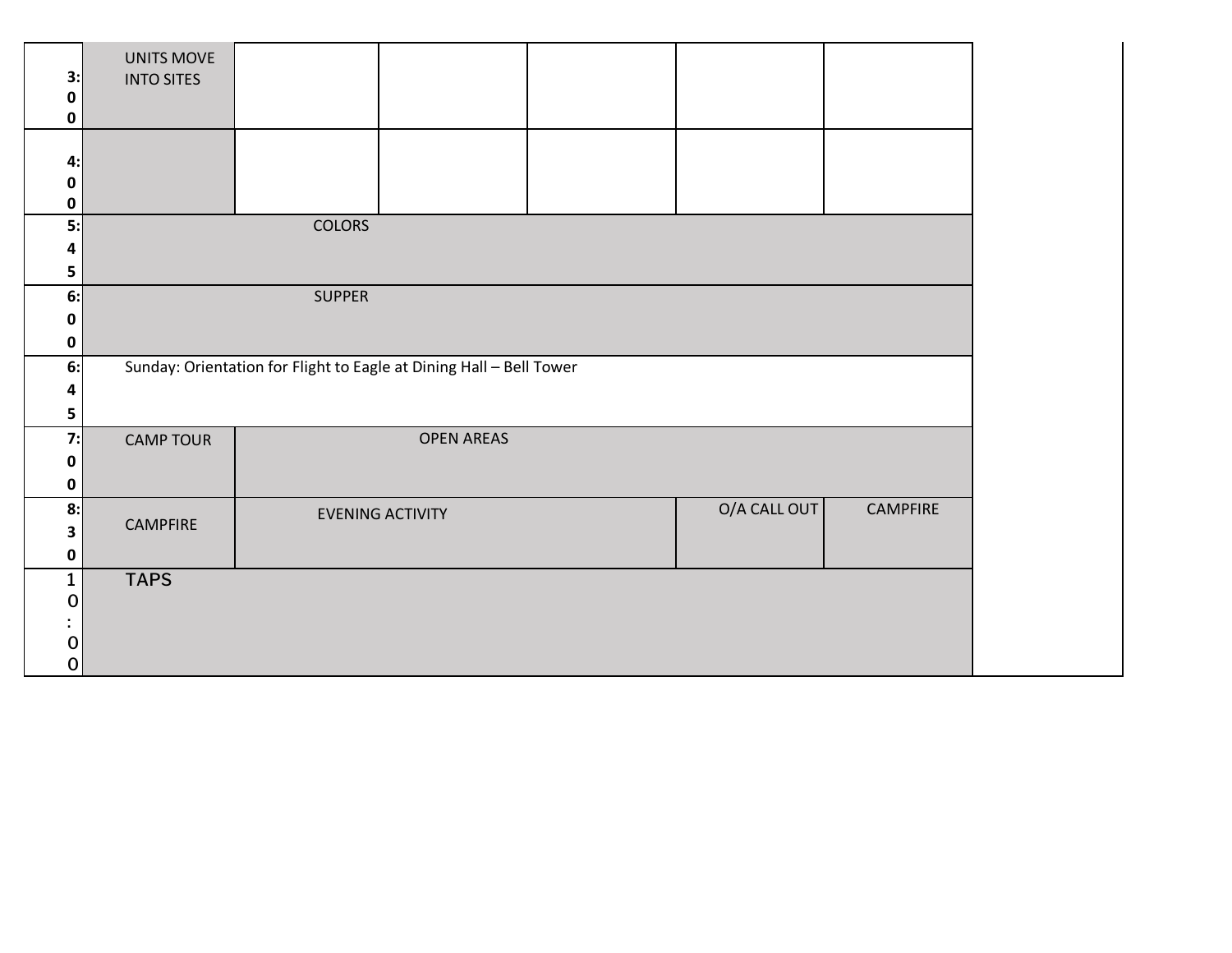| 3:<br>0<br>0          | UNITS MOVE<br><b>INTO SITES</b>                                     |               |                         |  |              |                 |
|-----------------------|---------------------------------------------------------------------|---------------|-------------------------|--|--------------|-----------------|
| 4:<br>0<br>0          |                                                                     |               |                         |  |              |                 |
| 5:<br>4<br>5          |                                                                     | <b>COLORS</b> |                         |  |              |                 |
| 6:<br>0<br>0          | <b>SUPPER</b>                                                       |               |                         |  |              |                 |
| 6:<br>4<br>5          | Sunday: Orientation for Flight to Eagle at Dining Hall - Bell Tower |               |                         |  |              |                 |
| 7:<br>0<br>0          | <b>CAMP TOUR</b>                                                    |               | <b>OPEN AREAS</b>       |  |              |                 |
| 8:<br>3<br>0          | <b>CAMPFIRE</b>                                                     |               | <b>EVENING ACTIVITY</b> |  | O/A CALL OUT | <b>CAMPFIRE</b> |
| $\mathbf 1$<br>0<br>0 | <b>TAPS</b>                                                         |               |                         |  |              |                 |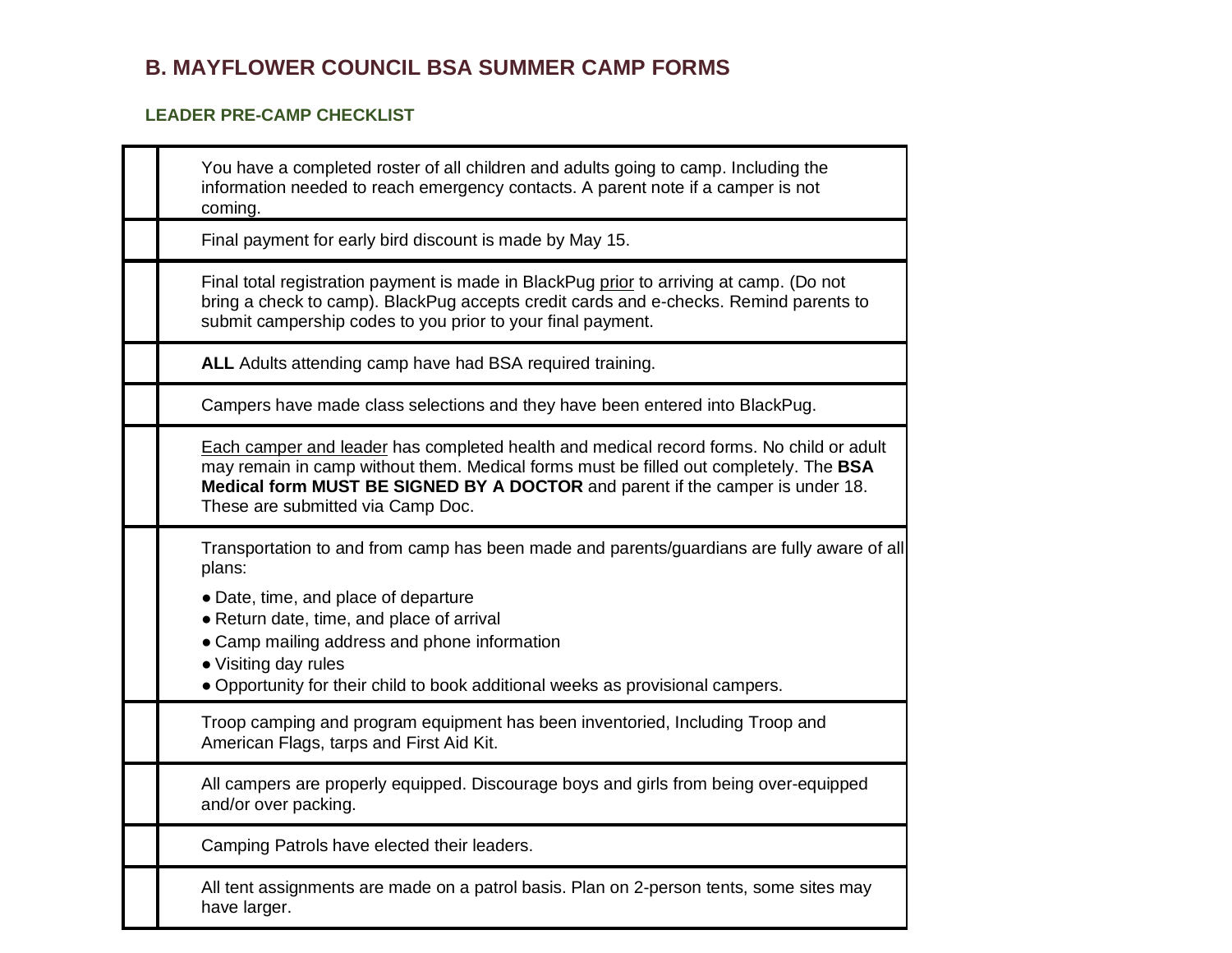# **B. MAYFLOWER COUNCIL BSA SUMMER CAMP FORMS**

#### **LEADER PRE-CAMP CHECKLIST**

| You have a completed roster of all children and adults going to camp. Including the<br>information needed to reach emergency contacts. A parent note if a camper is not<br>coming.                                                                                                                                                                  |
|-----------------------------------------------------------------------------------------------------------------------------------------------------------------------------------------------------------------------------------------------------------------------------------------------------------------------------------------------------|
| Final payment for early bird discount is made by May 15.                                                                                                                                                                                                                                                                                            |
| Final total registration payment is made in BlackPug prior to arriving at camp. (Do not<br>bring a check to camp). BlackPug accepts credit cards and e-checks. Remind parents to<br>submit campership codes to you prior to your final payment.                                                                                                     |
| ALL Adults attending camp have had BSA required training.                                                                                                                                                                                                                                                                                           |
| Campers have made class selections and they have been entered into BlackPug.                                                                                                                                                                                                                                                                        |
| Each camper and leader has completed health and medical record forms. No child or adult<br>may remain in camp without them. Medical forms must be filled out completely. The BSA<br>Medical form MUST BE SIGNED BY A DOCTOR and parent if the camper is under 18.<br>These are submitted via Camp Doc.                                              |
| Transportation to and from camp has been made and parents/guardians are fully aware of all<br>plans:<br>• Date, time, and place of departure<br>• Return date, time, and place of arrival<br>• Camp mailing address and phone information<br>• Visiting day rules<br>. Opportunity for their child to book additional weeks as provisional campers. |
| Troop camping and program equipment has been inventoried, Including Troop and<br>American Flags, tarps and First Aid Kit.                                                                                                                                                                                                                           |
| All campers are properly equipped. Discourage boys and girls from being over-equipped<br>and/or over packing.                                                                                                                                                                                                                                       |
| Camping Patrols have elected their leaders.                                                                                                                                                                                                                                                                                                         |
| All tent assignments are made on a patrol basis. Plan on 2-person tents, some sites may<br>have larger.                                                                                                                                                                                                                                             |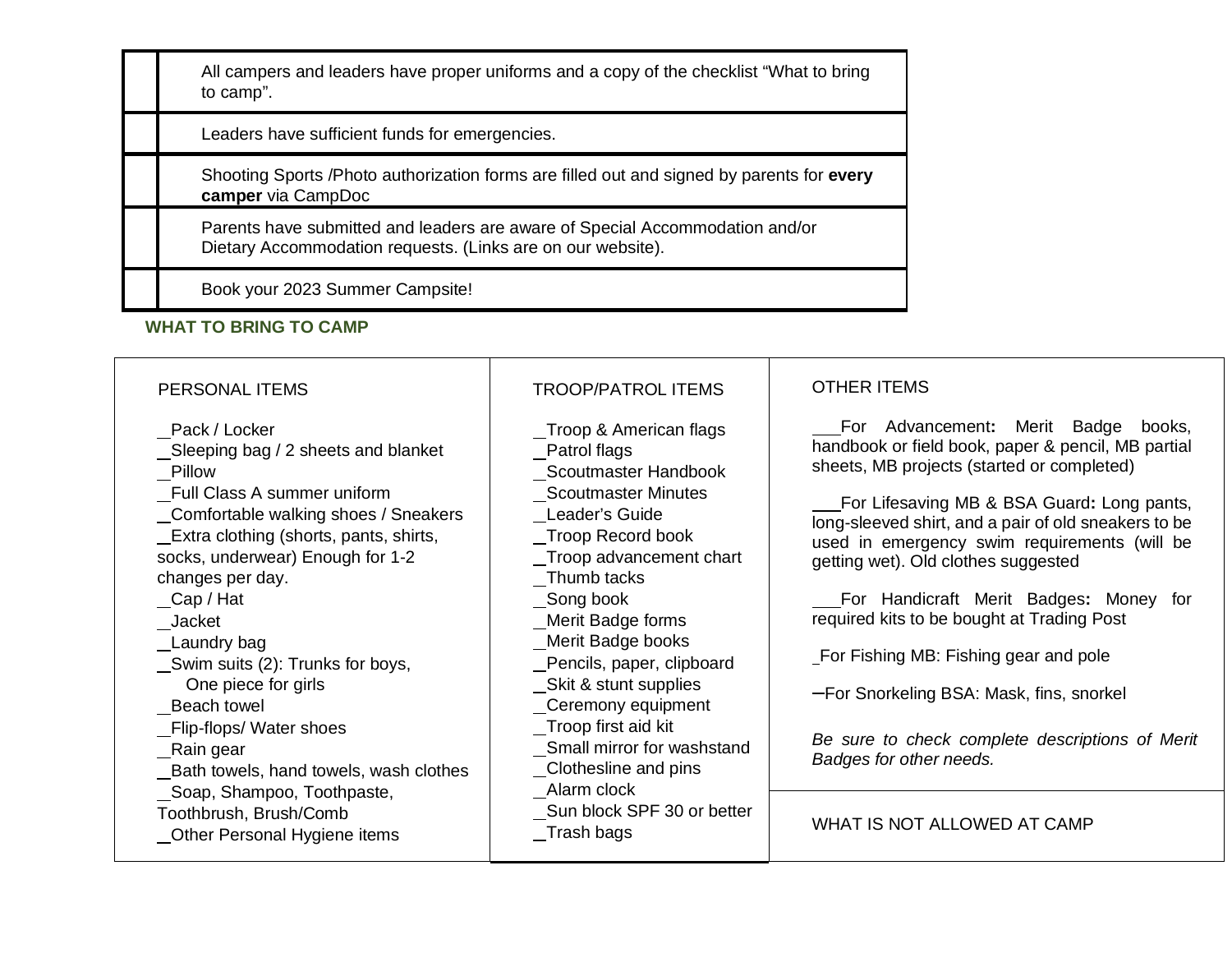All campers and leaders have proper uniforms and a copy of the checklist "What to bring to camp".

Leaders have sufficient funds for emergencies.

Shooting Sports /Photo authorization forms are filled out and signed by parents for **every camper** via CampDoc

Parents have submitted and leaders are aware of Special Accommodation and/or Dietary Accommodation requests. (Links are on our website).

Book your 2023 Summer Campsite!

#### **WHAT TO BRING TO CAMP**

| PERSONAL ITEMS                                                                                                                                                                                                                                                                                                                                                                                                                                                                                                                        | <b>TROOP/PATROL ITEMS</b>                                                                                                                                                                                                                                                                                                                                                                                                                                        | <b>OTHER ITEMS</b>                                                                                                                                                                                                                                                                                                                                                                                                                                                                                                                                                                                                             |
|---------------------------------------------------------------------------------------------------------------------------------------------------------------------------------------------------------------------------------------------------------------------------------------------------------------------------------------------------------------------------------------------------------------------------------------------------------------------------------------------------------------------------------------|------------------------------------------------------------------------------------------------------------------------------------------------------------------------------------------------------------------------------------------------------------------------------------------------------------------------------------------------------------------------------------------------------------------------------------------------------------------|--------------------------------------------------------------------------------------------------------------------------------------------------------------------------------------------------------------------------------------------------------------------------------------------------------------------------------------------------------------------------------------------------------------------------------------------------------------------------------------------------------------------------------------------------------------------------------------------------------------------------------|
| Pack / Locker<br>Sleeping bag / 2 sheets and blanket<br>Pillow<br>Full Class A summer uniform<br>_Comfortable walking shoes / Sneakers<br>Extra clothing (shorts, pants, shirts,<br>socks, underwear) Enough for 1-2<br>changes per day.<br>Cap / Hat<br>Jacket<br>Laundry bag<br>Swim suits (2): Trunks for boys,<br>One piece for girls<br>Beach towel<br>_Flip-flops/ Water shoes<br>_Rain gear<br>_Bath towels, hand towels, wash clothes<br>Soap, Shampoo, Toothpaste,<br>Toothbrush, Brush/Comb<br>Other Personal Hygiene items | Troop & American flags<br>Patrol flags<br>Scoutmaster Handbook<br><b>Scoutmaster Minutes</b><br>Leader's Guide<br>_Troop Record book<br>Troop advancement chart<br>_Thumb tacks<br>_Song book<br>Merit Badge forms<br>_Merit Badge books<br>Pencils, paper, clipboard<br>_Skit & stunt supplies<br>_Ceremony equipment<br>_Troop first aid kit<br>Small mirror for washstand<br>Clothesline and pins<br>Alarm clock<br>Sun block SPF 30 or better<br>_Trash bags | For Advancement: Merit Badge books,<br>handbook or field book, paper & pencil, MB partial<br>sheets, MB projects (started or completed)<br>For Lifesaving MB & BSA Guard: Long pants,<br>long-sleeved shirt, and a pair of old sneakers to be<br>used in emergency swim requirements (will be<br>getting wet). Old clothes suggested<br>For Handicraft Merit Badges: Money for<br>required kits to be bought at Trading Post<br>For Fishing MB: Fishing gear and pole<br>-For Snorkeling BSA: Mask, fins, snorkel<br>Be sure to check complete descriptions of Merit<br>Badges for other needs.<br>WHAT IS NOT ALLOWED AT CAMP |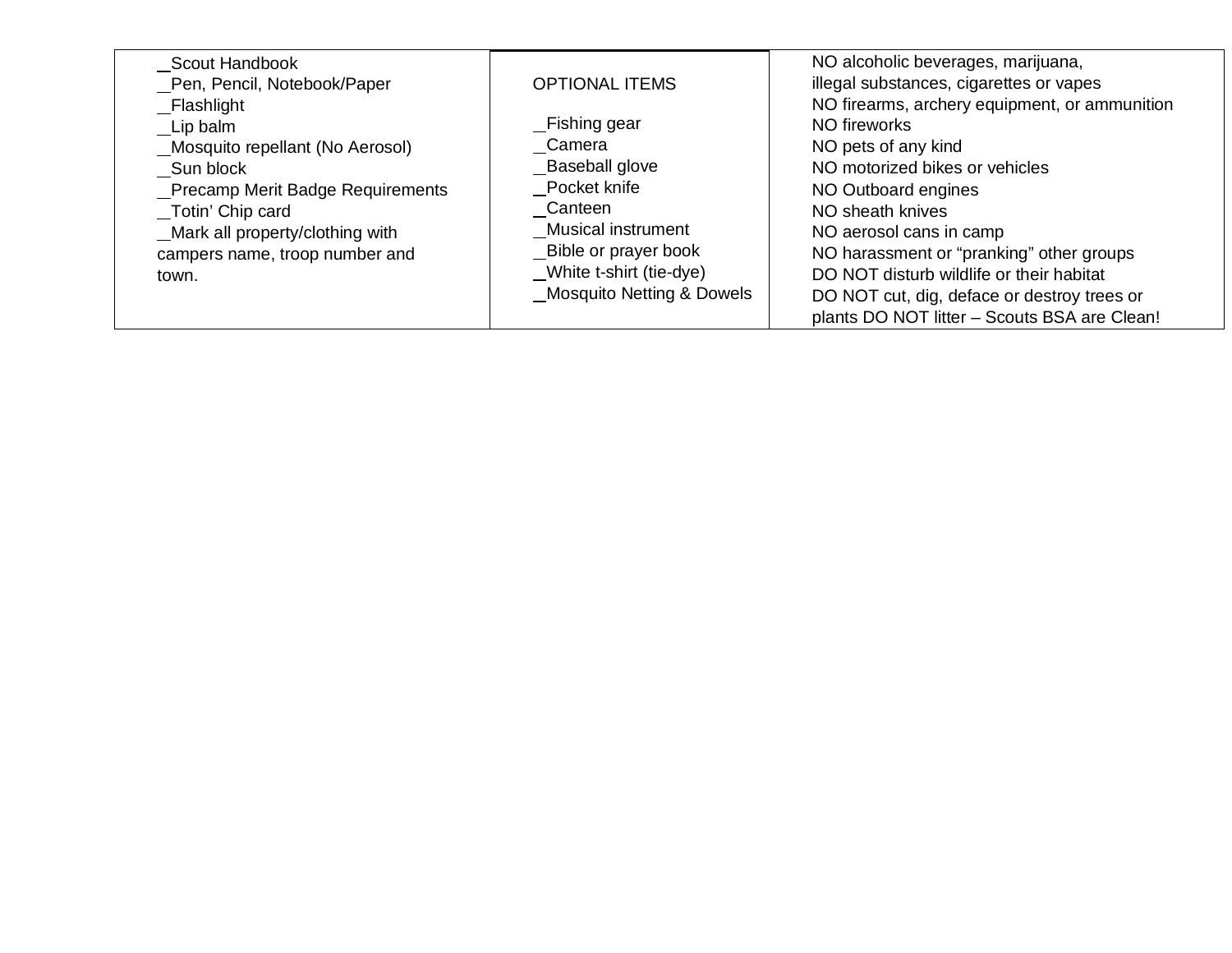| Scout Handbook                    |                                      | NO alcoholic beverages, marijuana,            |
|-----------------------------------|--------------------------------------|-----------------------------------------------|
| Pen, Pencil, Notebook/Paper       | <b>OPTIONAL ITEMS</b>                | illegal substances, cigarettes or vapes       |
| Flashlight                        |                                      | NO firearms, archery equipment, or ammunition |
| Lip balm                          | _Fishing gear                        | NO fireworks                                  |
| Mosquito repellant (No Aerosol)   | Camera                               | NO pets of any kind                           |
| Sun block                         | Baseball glove                       | NO motorized bikes or vehicles                |
| _Precamp Merit Badge Requirements | Pocket knife                         | NO Outboard engines                           |
| Totin' Chip card                  | Canteen                              | NO sheath knives                              |
| _Mark all property/clothing with  | Musical instrument                   | NO aerosol cans in camp                       |
| campers name, troop number and    | Bible or prayer book                 | NO harassment or "pranking" other groups      |
| town.                             | _White t-shirt (tie-dye)             | DO NOT disturb wildlife or their habitat      |
|                                   | <b>Mosquito Netting &amp; Dowels</b> | DO NOT cut, dig, deface or destroy trees or   |
|                                   |                                      | plants DO NOT litter - Scouts BSA are Clean!  |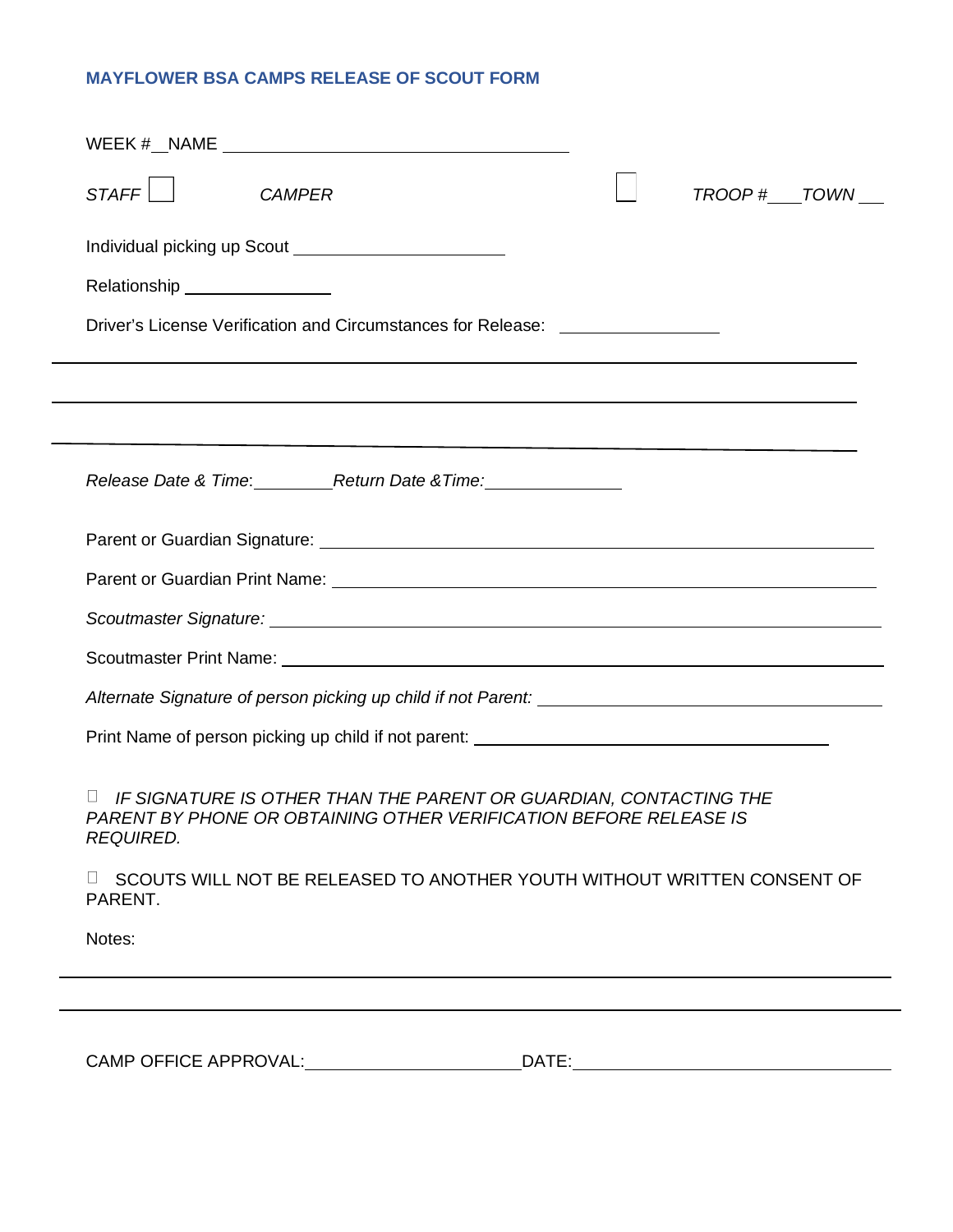#### **MAYFLOWER BSA CAMPS RELEASE OF SCOUT FORM**

| STAFF<br><b>CAMPER</b>                                                                                                                              | TROOP # TOWN |  |
|-----------------------------------------------------------------------------------------------------------------------------------------------------|--------------|--|
|                                                                                                                                                     |              |  |
| Relationship _________________                                                                                                                      |              |  |
| Driver's License Verification and Circumstances for Release: ___________________                                                                    |              |  |
| ,我们也不会有什么?""我们的人,我们也不会有什么?""我们的人,我们也不会有什么?""我们的人,我们也不会有什么?""我们的人,我们也不会有什么?""我们的人                                                                    |              |  |
|                                                                                                                                                     |              |  |
| Release Date & Time: Return Date & Time: Release Date & Time:                                                                                       |              |  |
|                                                                                                                                                     |              |  |
|                                                                                                                                                     |              |  |
|                                                                                                                                                     |              |  |
|                                                                                                                                                     |              |  |
|                                                                                                                                                     |              |  |
|                                                                                                                                                     |              |  |
| IF SIGNATURE IS OTHER THAN THE PARENT OR GUARDIAN, CONTACTING THE<br>PARENT BY PHONE OR OBTAINING OTHER VERIFICATION BEFORE RELEASE IS<br>REQUIRED. |              |  |
| SCOUTS WILL NOT BE RELEASED TO ANOTHER YOUTH WITHOUT WRITTEN CONSENT OF<br>PARENT.                                                                  |              |  |
| Notes:                                                                                                                                              |              |  |
|                                                                                                                                                     |              |  |

CAMP OFFICE APPROVAL: DATE: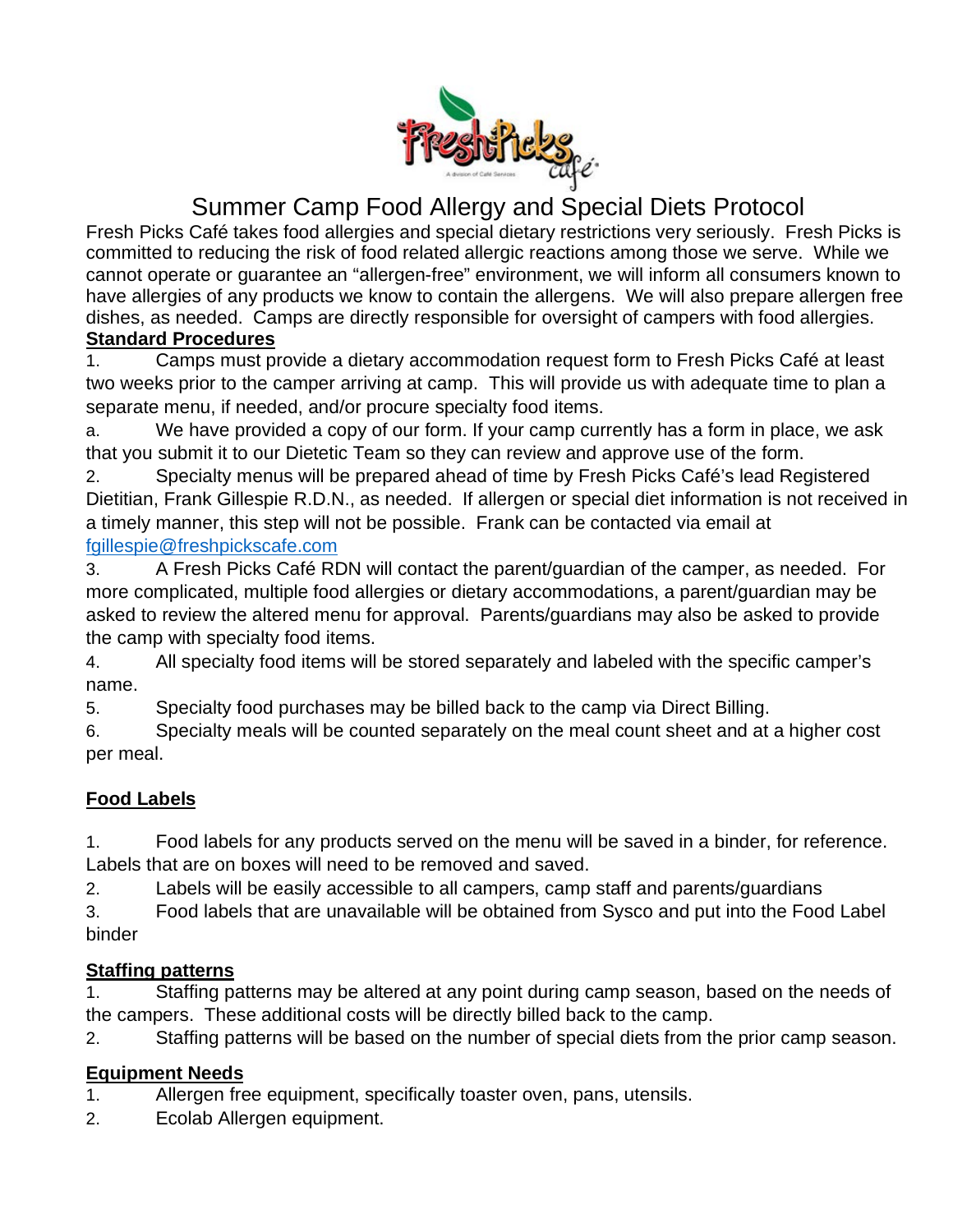

# Summer Camp Food Allergy and Special Diets Protocol

Fresh Picks Café takes food allergies and special dietary restrictions very seriously. Fresh Picks is committed to reducing the risk of food related allergic reactions among those we serve. While we cannot operate or guarantee an "allergen-free" environment, we will inform all consumers known to have allergies of any products we know to contain the allergens. We will also prepare allergen free dishes, as needed. Camps are directly responsible for oversight of campers with food allergies. **Standard Procedures**

1. Camps must provide a dietary accommodation request form to Fresh Picks Café at least two weeks prior to the camper arriving at camp. This will provide us with adequate time to plan a separate menu, if needed, and/or procure specialty food items.

a. We have provided a copy of our form. If your camp currently has a form in place, we ask that you submit it to our Dietetic Team so they can review and approve use of the form.

2. Specialty menus will be prepared ahead of time by Fresh Picks Café's lead Registered Dietitian, Frank Gillespie R.D.N., as needed. If allergen or special diet information is not received in a timely manner, this step will not be possible. Frank can be contacted via email at [fgillespie@freshpickscafe.com](mailto:fgillespie@freshpickscafe.com)

3. A Fresh Picks Café RDN will contact the parent/guardian of the camper, as needed. For more complicated, multiple food allergies or dietary accommodations, a parent/guardian may be asked to review the altered menu for approval. Parents/guardians may also be asked to provide the camp with specialty food items.

4. All specialty food items will be stored separately and labeled with the specific camper's name.

5. Specialty food purchases may be billed back to the camp via Direct Billing.

6. Specialty meals will be counted separately on the meal count sheet and at a higher cost per meal.

# **Food Labels**

1. Food labels for any products served on the menu will be saved in a binder, for reference. Labels that are on boxes will need to be removed and saved.

2. Labels will be easily accessible to all campers, camp staff and parents/guardians

3. Food labels that are unavailable will be obtained from Sysco and put into the Food Label binder

# **Staffing patterns**

1. Staffing patterns may be altered at any point during camp season, based on the needs of the campers. These additional costs will be directly billed back to the camp.

2. Staffing patterns will be based on the number of special diets from the prior camp season.

# **Equipment Needs**

- 1. Allergen free equipment, specifically toaster oven, pans, utensils.
- 2. Ecolab Allergen equipment.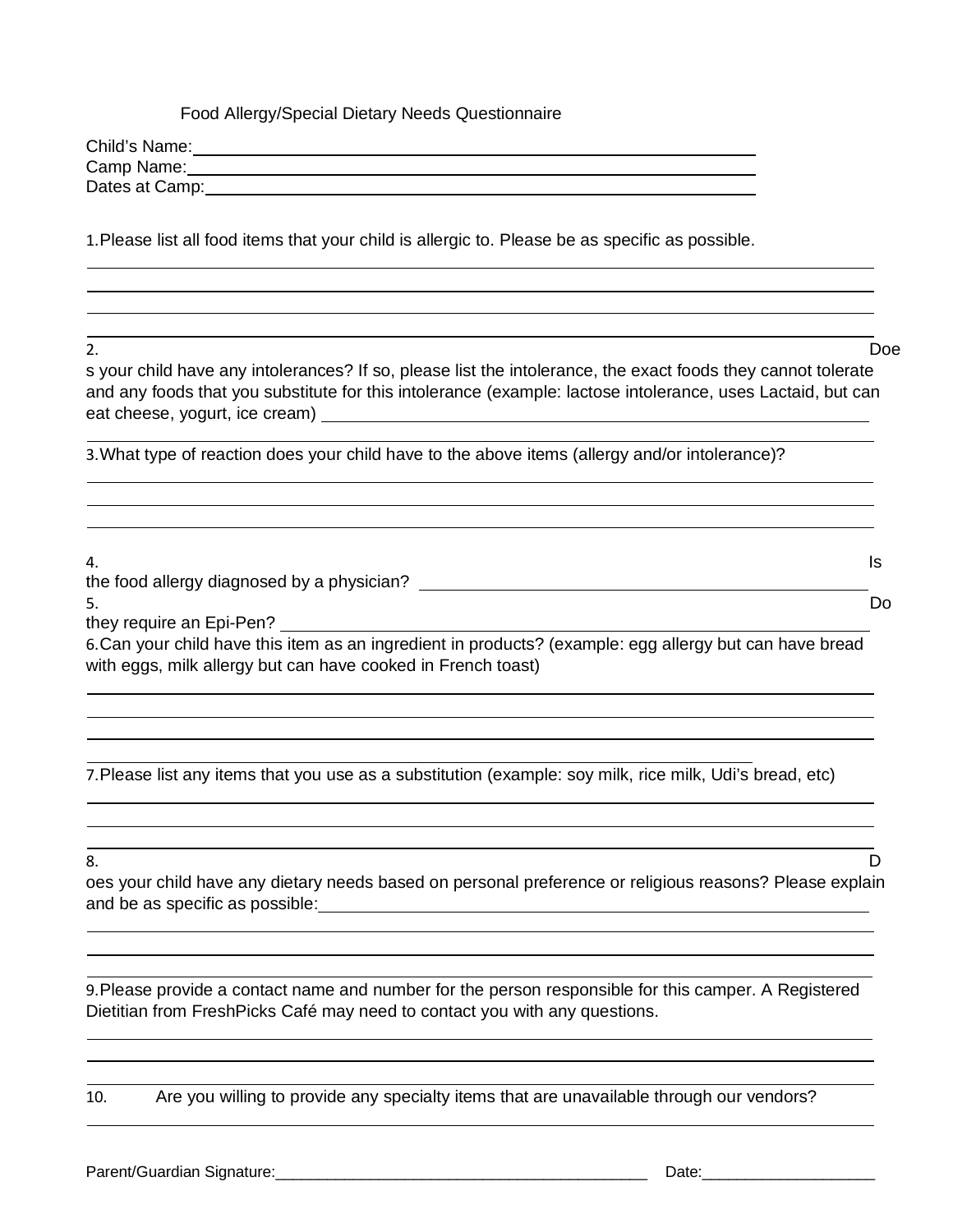#### Food Allergy/Special Dietary Needs Questionnaire

| Child's Name:  |  |  |
|----------------|--|--|
| Camp Name:     |  |  |
| Dates at Camp: |  |  |

1.Please list all food items that your child is allergic to. Please be as specific as possible.

2. Doe

s your child have any intolerances? If so, please list the intolerance, the exact foods they cannot tolerate and any foods that you substitute for this intolerance (example: lactose intolerance, uses Lactaid, but can eat cheese, yogurt, ice cream)

3.What type of reaction does your child have to the above items (allergy and/or intolerance)?

4. Is the food allergy diagnosed by a physician?  $\overline{\phantom{a}}$ 5. Do

they require an Epi-Pen?

6.Can your child have this item as an ingredient in products? (example: egg allergy but can have bread with eggs, milk allergy but can have cooked in French toast)

7.Please list any items that you use as a substitution (example: soy milk, rice milk, Udi's bread, etc)

8. D

oes your child have any dietary needs based on personal preference or religious reasons? Please explain and be as specific as possible:

9.Please provide a contact name and number for the person responsible for this camper. A Registered Dietitian from FreshPicks Café may need to contact you with any questions.

10. Are you willing to provide any specialty items that are unavailable through our vendors?

Parent/Guardian Signature:\_\_\_\_\_\_\_\_\_\_\_\_\_\_\_\_\_\_\_\_\_\_\_\_\_\_\_\_\_\_\_\_\_\_\_\_\_\_\_\_\_\_\_ Date:\_\_\_\_\_\_\_\_\_\_\_\_\_\_\_\_\_\_\_\_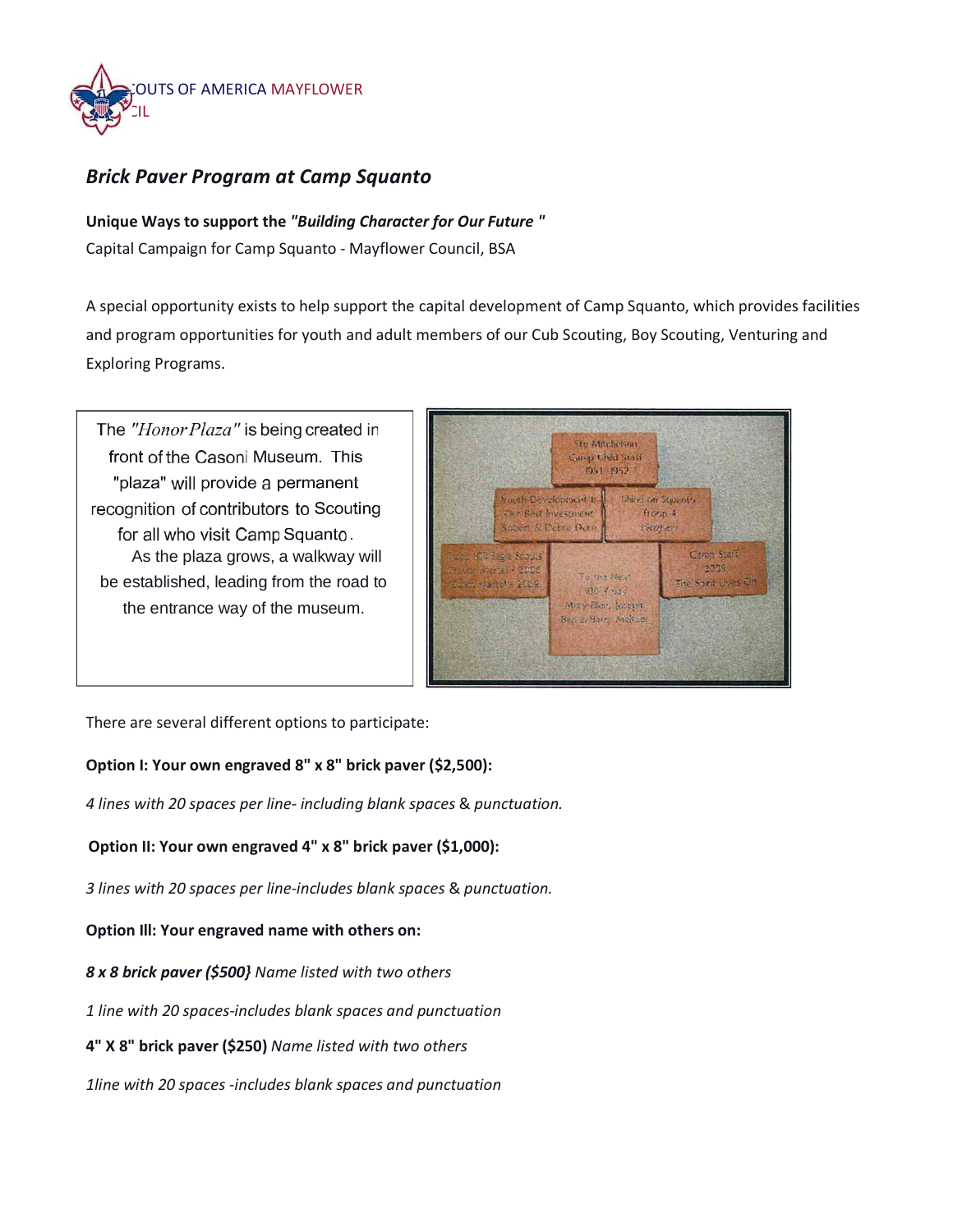

## *Brick Paver Program at Camp Squanto*

**Unique Ways to support the** *"Building Character for Our Future "* Capital Campaign for Camp Squanto - Mayflower Council, BSA

A special opportunity exists to help support the capital development of Camp Squanto, which provides facilities and program opportunities for youth and adult members of our Cub Scouting, Boy Scouting, Venturing and Exploring Programs.

The "Honor Plaza" is being created in front of the Casoni Museum. This "plaza" will provide a permanent recognition of contributors to Scouting for all who visit Camp Squanto. As the plaza grows, a walkway will be established, leading from the road to the entrance way of the museum.



There are several different options to participate:

#### **Option I: Your own engraved 8" x 8" brick paver (\$2,500):**

*4 lines with 20 spaces per line- including blank spaces* & *punctuation.*

#### **Option II: Your own engraved 4" x 8" brick paver (\$1,000):**

*3 lines with 20 spaces per line-includes blank spaces* & *punctuation.*

**Option Ill: Your engraved name with others on:**

*8 x 8 brick paver (\$500} Name listed with two others*

*1 line with 20 spaces*-*includes blank spaces and punctuation*

**4" X 8" brick paver (\$250)** *Name listed with two others*

*1line with 20 spaces* -*includes blank spaces and punctuation*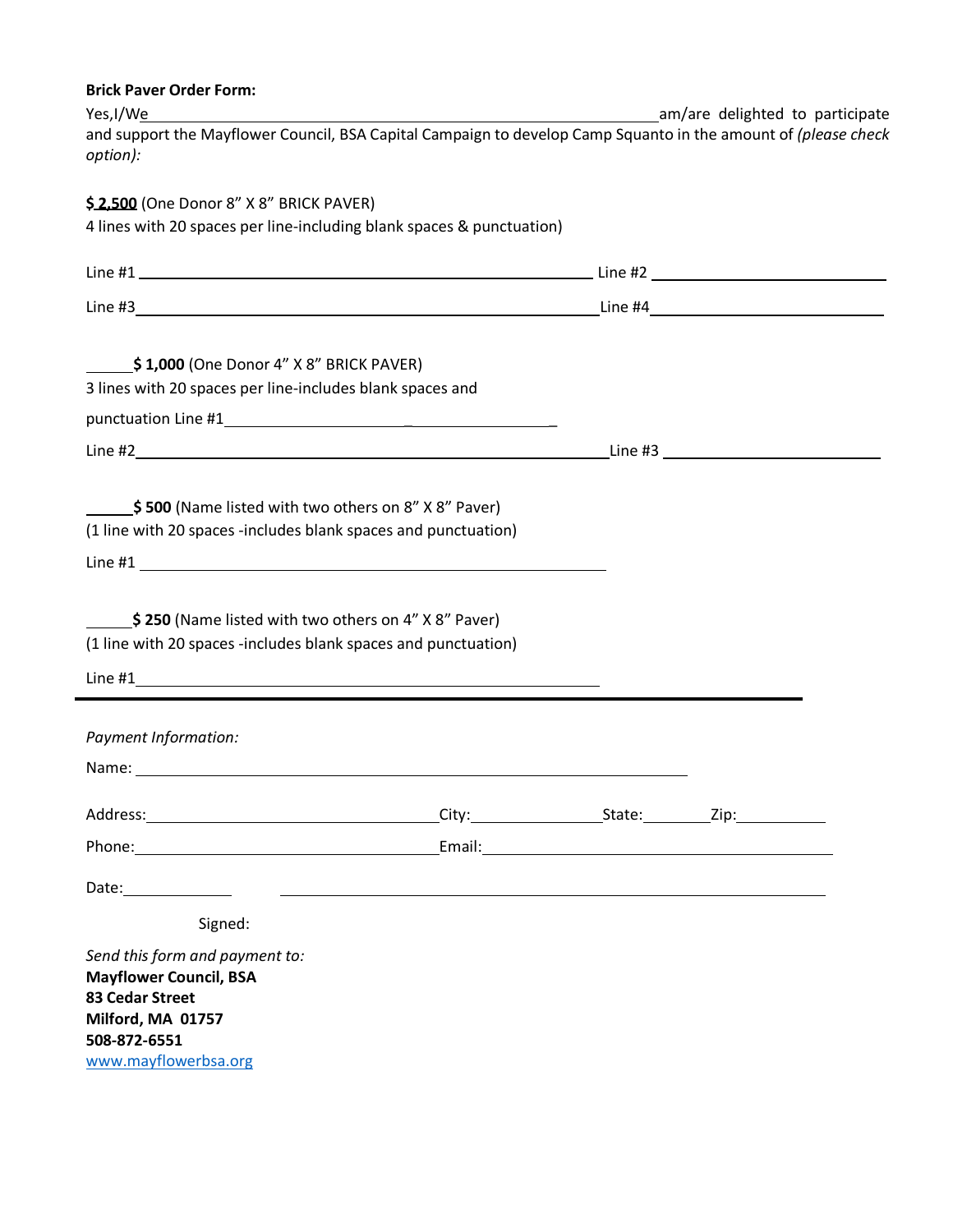| <b>Brick Paver Order Form:</b>                                                                                                                                                                                                 |                                                                                                                      |                                 |  |
|--------------------------------------------------------------------------------------------------------------------------------------------------------------------------------------------------------------------------------|----------------------------------------------------------------------------------------------------------------------|---------------------------------|--|
| Yes, I/We                                                                                                                                                                                                                      |                                                                                                                      | am/are delighted to participate |  |
| and support the Mayflower Council, BSA Capital Campaign to develop Camp Squanto in the amount of (please check<br>option):                                                                                                     |                                                                                                                      |                                 |  |
| \$2,500 (One Donor 8" X 8" BRICK PAVER)                                                                                                                                                                                        |                                                                                                                      |                                 |  |
| 4 lines with 20 spaces per line-including blank spaces & punctuation)                                                                                                                                                          |                                                                                                                      |                                 |  |
|                                                                                                                                                                                                                                |                                                                                                                      |                                 |  |
|                                                                                                                                                                                                                                |                                                                                                                      |                                 |  |
|                                                                                                                                                                                                                                |                                                                                                                      |                                 |  |
| $\frac{\epsilon}{2}$ \$1,000 (One Donor 4" X 8" BRICK PAVER)                                                                                                                                                                   |                                                                                                                      |                                 |  |
| 3 lines with 20 spaces per line-includes blank spaces and                                                                                                                                                                      |                                                                                                                      |                                 |  |
|                                                                                                                                                                                                                                |                                                                                                                      |                                 |  |
|                                                                                                                                                                                                                                |                                                                                                                      |                                 |  |
|                                                                                                                                                                                                                                |                                                                                                                      |                                 |  |
| \$500 (Name listed with two others on 8" X 8" Paver)                                                                                                                                                                           |                                                                                                                      |                                 |  |
| (1 line with 20 spaces -includes blank spaces and punctuation)                                                                                                                                                                 |                                                                                                                      |                                 |  |
| Line #1                                                                                                                                                                                                                        |                                                                                                                      |                                 |  |
|                                                                                                                                                                                                                                |                                                                                                                      |                                 |  |
| $\frac{1}{2}$ \$250 (Name listed with two others on 4" X 8" Paver)                                                                                                                                                             |                                                                                                                      |                                 |  |
| (1 line with 20 spaces -includes blank spaces and punctuation)                                                                                                                                                                 |                                                                                                                      |                                 |  |
|                                                                                                                                                                                                                                |                                                                                                                      |                                 |  |
| Payment Information:                                                                                                                                                                                                           |                                                                                                                      |                                 |  |
|                                                                                                                                                                                                                                |                                                                                                                      |                                 |  |
|                                                                                                                                                                                                                                |                                                                                                                      |                                 |  |
| Address: <u>City: State: Zip:</u> City: State: Zip: 21.                                                                                                                                                                        |                                                                                                                      |                                 |  |
| Phone: Email: Email: Email: Email: Email: Email: Email: Email: Email: Email: Email: Email: Email: Email: Email: Email: Email: Email: Email: Email: Email: Email: Email: Email: Email: Email: Email: Email: Email: Email: Email |                                                                                                                      |                                 |  |
| Date:_______________                                                                                                                                                                                                           | <u> 1980 - Andrea Barbara, poeta esperanto-poeta esperanto-poeta esperanto-poeta esperanto-poeta esperanto-poeta</u> |                                 |  |
| Signed:                                                                                                                                                                                                                        |                                                                                                                      |                                 |  |
| Send this form and payment to:                                                                                                                                                                                                 |                                                                                                                      |                                 |  |
| <b>Mayflower Council, BSA</b>                                                                                                                                                                                                  |                                                                                                                      |                                 |  |
| 83 Cedar Street<br>Milford, MA 01757                                                                                                                                                                                           |                                                                                                                      |                                 |  |
| 508-872-6551                                                                                                                                                                                                                   |                                                                                                                      |                                 |  |
| www.mayflowerbsa.org                                                                                                                                                                                                           |                                                                                                                      |                                 |  |